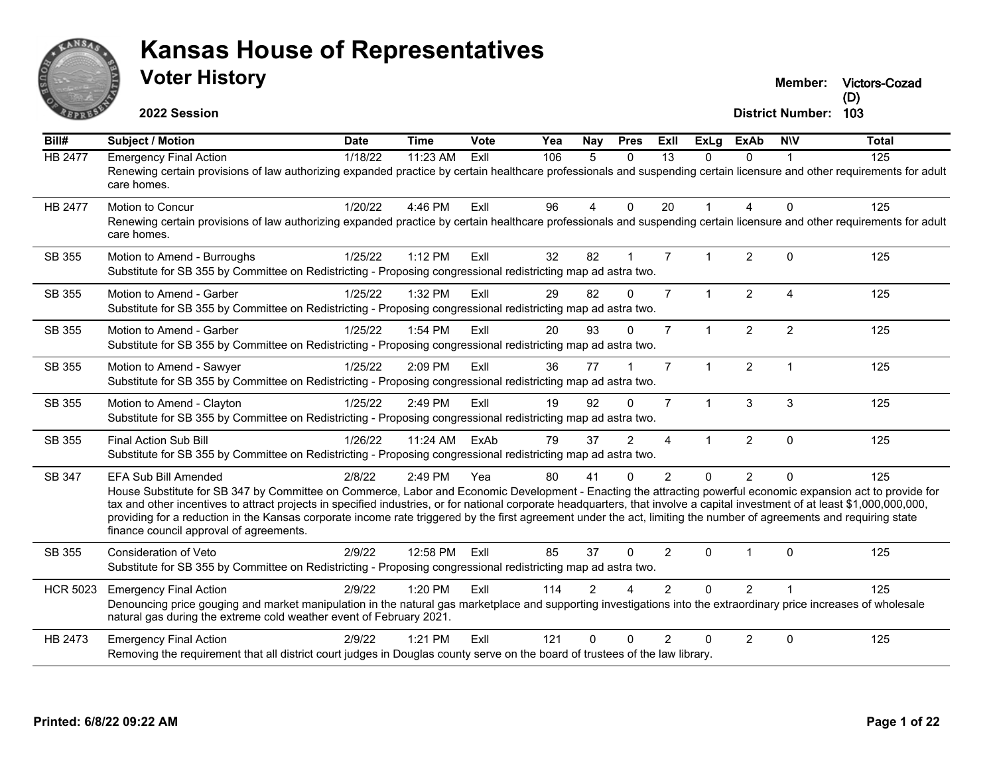

**Victors-Cozad**

**2022 Session**

| Bill#           | <b>Subject / Motion</b>                                                                                                                                                                                                                                                                                                                                                                                                                                                                                                                                                                            | <b>Date</b> | <b>Time</b> | Vote | Yea | Nay            | <b>Pres</b>    | <b>ExII</b>           | <b>ExLg</b>          | <b>ExAb</b>    | <b>NIV</b>     | <b>Total</b>     |
|-----------------|----------------------------------------------------------------------------------------------------------------------------------------------------------------------------------------------------------------------------------------------------------------------------------------------------------------------------------------------------------------------------------------------------------------------------------------------------------------------------------------------------------------------------------------------------------------------------------------------------|-------------|-------------|------|-----|----------------|----------------|-----------------------|----------------------|----------------|----------------|------------------|
| <b>HB 2477</b>  | <b>Emergency Final Action</b><br>Renewing certain provisions of law authorizing expanded practice by certain healthcare professionals and suspending certain licensure and other requirements for adult<br>care homes.                                                                                                                                                                                                                                                                                                                                                                             | 1/18/22     | 11:23 AM    | ExII | 106 | 5              | $\Omega$       | $\overline{13}$       | $\Omega$             | $\Omega$       |                | $\overline{125}$ |
| <b>HB 2477</b>  | Motion to Concur<br>Renewing certain provisions of law authorizing expanded practice by certain healthcare professionals and suspending certain licensure and other requirements for adult<br>care homes.                                                                                                                                                                                                                                                                                                                                                                                          | 1/20/22     | 4:46 PM     | ExIl | 96  | $\overline{4}$ | $\Omega$       | 20                    |                      | $\overline{4}$ | $\Omega$       | 125              |
| SB 355          | Motion to Amend - Burroughs<br>Substitute for SB 355 by Committee on Redistricting - Proposing congressional redistricting map ad astra two.                                                                                                                                                                                                                                                                                                                                                                                                                                                       | 1/25/22     | 1:12 PM     | ExII | 32  | 82             |                | $\overline{7}$        |                      | $\overline{2}$ | $\Omega$       | 125              |
| SB 355          | Motion to Amend - Garber<br>Substitute for SB 355 by Committee on Redistricting - Proposing congressional redistricting map ad astra two.                                                                                                                                                                                                                                                                                                                                                                                                                                                          | 1/25/22     | 1:32 PM     | ExIl | 29  | 82             | $\Omega$       | $\overline{7}$        | $\mathbf{1}$         | $\overline{2}$ | $\overline{4}$ | 125              |
| SB 355          | Motion to Amend - Garber<br>Substitute for SB 355 by Committee on Redistricting - Proposing congressional redistricting map ad astra two.                                                                                                                                                                                                                                                                                                                                                                                                                                                          | 1/25/22     | 1:54 PM     | ExIl | 20  | 93             | $\Omega$       | $\overline{7}$        | $\mathbf{1}$         | $\overline{2}$ | $\overline{2}$ | 125              |
| SB 355          | Motion to Amend - Sawyer<br>Substitute for SB 355 by Committee on Redistricting - Proposing congressional redistricting map ad astra two.                                                                                                                                                                                                                                                                                                                                                                                                                                                          | 1/25/22     | 2:09 PM     | ExII | 36  | 77             |                | $\overline{7}$        | $\mathbf{1}$         | $\overline{2}$ |                | 125              |
| SB 355          | Motion to Amend - Clayton<br>Substitute for SB 355 by Committee on Redistricting - Proposing congressional redistricting map ad astra two.                                                                                                                                                                                                                                                                                                                                                                                                                                                         | 1/25/22     | 2:49 PM     | ExII | 19  | 92             | $\Omega$       | $\overline{7}$        | $\blacktriangleleft$ | 3              | 3              | 125              |
| SB 355          | Final Action Sub Bill<br>Substitute for SB 355 by Committee on Redistricting - Proposing congressional redistricting map ad astra two.                                                                                                                                                                                                                                                                                                                                                                                                                                                             | 1/26/22     | $11:24$ AM  | ExAb | 79  | 37             | $\mathfrak{p}$ | $\boldsymbol{\Delta}$ | 1                    | 2              | $\Omega$       | 125              |
| SB 347          | <b>EFA Sub Bill Amended</b><br>House Substitute for SB 347 by Committee on Commerce, Labor and Economic Development - Enacting the attracting powerful economic expansion act to provide for<br>tax and other incentives to attract projects in specified industries, or for national corporate headquarters, that involve a capital investment of at least \$1,000,000,000,000,<br>providing for a reduction in the Kansas corporate income rate triggered by the first agreement under the act, limiting the number of agreements and requiring state<br>finance council approval of agreements. | 2/8/22      | 2:49 PM     | Yea  | 80  | 41             | $\Omega$       | $\mathcal{P}$         | $\Omega$             | $\overline{2}$ | $\Omega$       | 125              |
| SB 355          | Consideration of Veto<br>Substitute for SB 355 by Committee on Redistricting - Proposing congressional redistricting map ad astra two.                                                                                                                                                                                                                                                                                                                                                                                                                                                             | 2/9/22      | 12:58 PM    | Exll | 85  | 37             | $\Omega$       | 2                     | $\Omega$             | -1             | $\Omega$       | 125              |
| <b>HCR 5023</b> | <b>Emergency Final Action</b><br>Denouncing price gouging and market manipulation in the natural gas marketplace and supporting investigations into the extraordinary price increases of wholesale<br>natural gas during the extreme cold weather event of February 2021.                                                                                                                                                                                                                                                                                                                          | 2/9/22      | 1:20 PM     | Exll | 114 | $\overline{c}$ |                | 2                     | $\Omega$             | $\overline{2}$ |                | 125              |
| HB 2473         | <b>Emergency Final Action</b><br>Removing the requirement that all district court judges in Douglas county serve on the board of trustees of the law library.                                                                                                                                                                                                                                                                                                                                                                                                                                      | 2/9/22      | 1:21 PM     | ExII | 121 | $\Omega$       | $\Omega$       | 2                     | 0                    | 2              | $\Omega$       | 125              |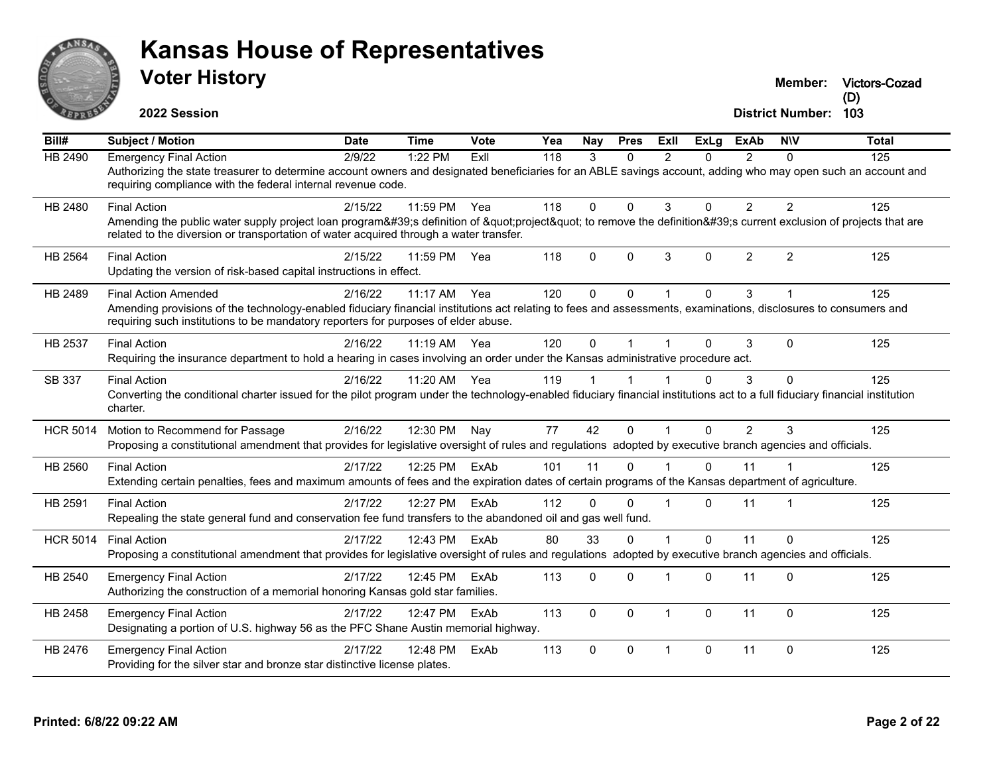

# **Voter History Kansas House of Representatives**

**Victors-Cozad (D)**

| Bill#           | <b>Subject / Motion</b>                                                                                                                                                                                                                               | <b>Date</b> | <b>Time</b>  | Vote | Yea | <b>Nay</b>   | <b>Pres</b>  | <b>ExII</b> | <b>ExLg</b>  | <b>ExAb</b>    | <b>NIV</b>     | <b>Total</b> |
|-----------------|-------------------------------------------------------------------------------------------------------------------------------------------------------------------------------------------------------------------------------------------------------|-------------|--------------|------|-----|--------------|--------------|-------------|--------------|----------------|----------------|--------------|
| HB 2490         | <b>Emergency Final Action</b>                                                                                                                                                                                                                         | 2/9/22      | 1:22 PM      | ExII | 118 | 3            | 0            | 2           | $\Omega$     | $\mathcal{P}$  | 0              | 125          |
|                 | Authorizing the state treasurer to determine account owners and designated beneficiaries for an ABLE savings account, adding who may open such an account and<br>requiring compliance with the federal internal revenue code.                         |             |              |      |     |              |              |             |              |                |                |              |
| HB 2480         | <b>Final Action</b>                                                                                                                                                                                                                                   | 2/15/22     | 11:59 PM     | Yea  | 118 | $\Omega$     | $\Omega$     | 3           | $\Omega$     | $\overline{2}$ | $\overline{2}$ | 125          |
|                 | Amending the public water supply project loan program's definition of "project" to remove the definition's current exclusion of projects that are<br>related to the diversion or transportation of water acquired through a water transfer.           |             |              |      |     |              |              |             |              |                |                |              |
| <b>HB 2564</b>  | <b>Final Action</b>                                                                                                                                                                                                                                   | 2/15/22     | 11:59 PM     | Yea  | 118 | $\Omega$     | $\Omega$     | 3           | $\mathbf{0}$ | 2              | $\overline{2}$ | 125          |
|                 | Updating the version of risk-based capital instructions in effect.                                                                                                                                                                                    |             |              |      |     |              |              |             |              |                |                |              |
| HB 2489         | <b>Final Action Amended</b>                                                                                                                                                                                                                           | 2/16/22     | $11:17$ AM   | Yea  | 120 | $\Omega$     | $\Omega$     |             | $\Omega$     | 3              | 1              | 125          |
|                 | Amending provisions of the technology-enabled fiduciary financial institutions act relating to fees and assessments, examinations, disclosures to consumers and<br>requiring such institutions to be mandatory reporters for purposes of elder abuse. |             |              |      |     |              |              |             |              |                |                |              |
| HB 2537         | <b>Final Action</b>                                                                                                                                                                                                                                   | 2/16/22     | 11:19 AM Yea |      | 120 | $\Omega$     |              |             | $\Omega$     | 3              | $\Omega$       | 125          |
|                 | Requiring the insurance department to hold a hearing in cases involving an order under the Kansas administrative procedure act.                                                                                                                       |             |              |      |     |              |              |             |              |                |                |              |
| SB 337          | <b>Final Action</b>                                                                                                                                                                                                                                   | 2/16/22     | 11:20 AM Yea |      | 119 |              |              |             | $\Omega$     | 3              | 0              | 125          |
|                 | Converting the conditional charter issued for the pilot program under the technology-enabled fiduciary financial institutions act to a full fiduciary financial institution<br>charter.                                                               |             |              |      |     |              |              |             |              |                |                |              |
| <b>HCR 5014</b> | Motion to Recommend for Passage                                                                                                                                                                                                                       | 2/16/22     | 12:30 PM     | Nay  | 77  | 42           | $\Omega$     |             | $\Omega$     | $\overline{2}$ | 3              | 125          |
|                 | Proposing a constitutional amendment that provides for legislative oversight of rules and regulations adopted by executive branch agencies and officials.                                                                                             |             |              |      |     |              |              |             |              |                |                |              |
| HB 2560         | <b>Final Action</b>                                                                                                                                                                                                                                   | 2/17/22     | 12:25 PM     | ExAb | 101 | 11           | $\Omega$     |             | $\Omega$     | 11             |                | 125          |
|                 | Extending certain penalties, fees and maximum amounts of fees and the expiration dates of certain programs of the Kansas department of agriculture.                                                                                                   |             |              |      |     |              |              |             |              |                |                |              |
| HB 2591         | <b>Final Action</b>                                                                                                                                                                                                                                   | 2/17/22     | 12:27 PM     | ExAb | 112 | $\mathbf{0}$ | $\Omega$     |             | $\Omega$     | 11             | $\overline{1}$ | 125          |
|                 | Repealing the state general fund and conservation fee fund transfers to the abandoned oil and gas well fund.                                                                                                                                          |             |              |      |     |              |              |             |              |                |                |              |
| <b>HCR 5014</b> | <b>Final Action</b>                                                                                                                                                                                                                                   | 2/17/22     | 12:43 PM     | ExAb | 80  | 33           | $\Omega$     |             | $\Omega$     | 11             | $\Omega$       | 125          |
|                 | Proposing a constitutional amendment that provides for legislative oversight of rules and regulations adopted by executive branch agencies and officials.                                                                                             |             |              |      |     |              |              |             |              |                |                |              |
| HB 2540         | <b>Emergency Final Action</b>                                                                                                                                                                                                                         | 2/17/22     | 12:45 PM     | ExAb | 113 | $\Omega$     | $\Omega$     |             | $\Omega$     | 11             | $\Omega$       | 125          |
|                 | Authorizing the construction of a memorial honoring Kansas gold star families.                                                                                                                                                                        |             |              |      |     |              |              |             |              |                |                |              |
| HB 2458         | <b>Emergency Final Action</b>                                                                                                                                                                                                                         | 2/17/22     | 12:47 PM     | ExAb | 113 | $\Omega$     | $\mathbf{0}$ |             | $\mathbf{0}$ | 11             | $\Omega$       | 125          |
|                 | Designating a portion of U.S. highway 56 as the PFC Shane Austin memorial highway.                                                                                                                                                                    |             |              |      |     |              |              |             |              |                |                |              |
| HB 2476         | <b>Emergency Final Action</b>                                                                                                                                                                                                                         | 2/17/22     | 12:48 PM     | ExAb | 113 | $\Omega$     | $\Omega$     |             | $\mathbf 0$  | 11             | $\pmb{0}$      | 125          |
|                 | Providing for the silver star and bronze star distinctive license plates.                                                                                                                                                                             |             |              |      |     |              |              |             |              |                |                |              |
|                 |                                                                                                                                                                                                                                                       |             |              |      |     |              |              |             |              |                |                |              |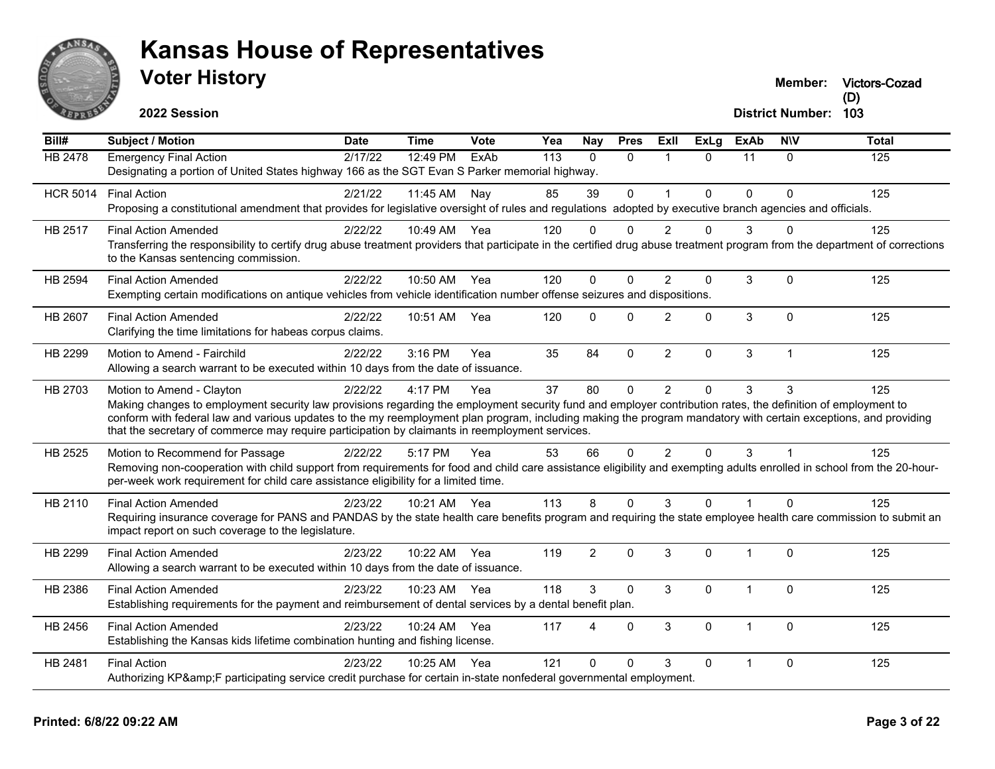

**Victors-Cozad**

**2022 Session**

| Bill#           | <b>Subject / Motion</b>                                                                                                                                                                                                                                                                                                                                                                                                                                         | <b>Date</b> | <b>Time</b>  | Vote | Yea | Nay            | <b>Pres</b>  | ExII           | <b>ExLg</b>  | <b>ExAb</b> | <b>NIV</b>   | <b>Total</b> |
|-----------------|-----------------------------------------------------------------------------------------------------------------------------------------------------------------------------------------------------------------------------------------------------------------------------------------------------------------------------------------------------------------------------------------------------------------------------------------------------------------|-------------|--------------|------|-----|----------------|--------------|----------------|--------------|-------------|--------------|--------------|
| <b>HB 2478</b>  | <b>Emergency Final Action</b><br>Designating a portion of United States highway 166 as the SGT Evan S Parker memorial highway.                                                                                                                                                                                                                                                                                                                                  | 2/17/22     | 12:49 PM     | ExAb | 113 | $\Omega$       | $\mathbf{0}$ | 1              | $\Omega$     | 11          | $\mathbf{0}$ | 125          |
| <b>HCR 5014</b> | <b>Final Action</b><br>Proposing a constitutional amendment that provides for legislative oversight of rules and regulations adopted by executive branch agencies and officials.                                                                                                                                                                                                                                                                                | 2/21/22     | 11:45 AM     | Nay  | 85  | 39             | $\mathbf 0$  | $\mathbf{1}$   | $\mathbf{0}$ | 0           | $\Omega$     | 125          |
| HB 2517         | <b>Final Action Amended</b><br>Transferring the responsibility to certify drug abuse treatment providers that participate in the certified drug abuse treatment program from the department of corrections<br>to the Kansas sentencing commission.                                                                                                                                                                                                              | 2/22/22     | 10:49 AM Yea |      | 120 | 0              | 0            | 2              | 0            | 3           |              | 125          |
| <b>HB 2594</b>  | <b>Final Action Amended</b><br>Exempting certain modifications on antique vehicles from vehicle identification number offense seizures and dispositions.                                                                                                                                                                                                                                                                                                        | 2/22/22     | 10:50 AM     | Yea  | 120 | $\Omega$       | $\Omega$     | $\overline{2}$ | $\Omega$     | 3           | 0            | 125          |
| HB 2607         | <b>Final Action Amended</b><br>Clarifying the time limitations for habeas corpus claims.                                                                                                                                                                                                                                                                                                                                                                        | 2/22/22     | 10:51 AM     | Yea  | 120 | $\Omega$       | $\Omega$     | 2              | $\Omega$     | 3           | $\Omega$     | 125          |
| HB 2299         | Motion to Amend - Fairchild<br>Allowing a search warrant to be executed within 10 days from the date of issuance.                                                                                                                                                                                                                                                                                                                                               | 2/22/22     | 3:16 PM      | Yea  | 35  | 84             | $\mathbf 0$  | $\overline{2}$ | 0            | 3           | $\mathbf 1$  | 125          |
| HB 2703         | Motion to Amend - Clayton<br>Making changes to employment security law provisions regarding the employment security fund and employer contribution rates, the definition of employment to<br>conform with federal law and various updates to the my reemployment plan program, including making the program mandatory with certain exceptions, and providing<br>that the secretary of commerce may require participation by claimants in reemployment services. | 2/22/22     | 4:17 PM      | Yea  | 37  | 80             | $\Omega$     | $\overline{2}$ | $\Omega$     | 3           | 3            | 125          |
| HB 2525         | Motion to Recommend for Passage<br>Removing non-cooperation with child support from requirements for food and child care assistance eligibility and exempting adults enrolled in school from the 20-hour-<br>per-week work requirement for child care assistance eligibility for a limited time.                                                                                                                                                                | 2/22/22     | 5:17 PM      | Yea  | 53  | 66             | $\mathbf{0}$ | $\overline{2}$ | 0            | 3           |              | 125          |
| HB 2110         | <b>Final Action Amended</b><br>Requiring insurance coverage for PANS and PANDAS by the state health care benefits program and requiring the state employee health care commission to submit an<br>impact report on such coverage to the legislature.                                                                                                                                                                                                            | 2/23/22     | 10:21 AM Yea |      | 113 | 8              | $\mathbf{0}$ | 3              | $\Omega$     | $\mathbf 1$ | $\Omega$     | 125          |
| HB 2299         | <b>Final Action Amended</b><br>Allowing a search warrant to be executed within 10 days from the date of issuance.                                                                                                                                                                                                                                                                                                                                               | 2/23/22     | 10:22 AM     | Yea  | 119 | $\overline{2}$ | $\Omega$     | 3              | $\Omega$     | 1           | $\Omega$     | 125          |
| HB 2386         | <b>Final Action Amended</b><br>Establishing requirements for the payment and reimbursement of dental services by a dental benefit plan.                                                                                                                                                                                                                                                                                                                         | 2/23/22     | 10:23 AM Yea |      | 118 | 3              | $\Omega$     | 3              | $\Omega$     | $\mathbf 1$ | $\Omega$     | 125          |
| HB 2456         | <b>Final Action Amended</b><br>Establishing the Kansas kids lifetime combination hunting and fishing license.                                                                                                                                                                                                                                                                                                                                                   | 2/23/22     | 10:24 AM     | Yea  | 117 | Δ              | $\mathbf{0}$ | 3              | $\Omega$     | $\mathbf 1$ | $\Omega$     | 125          |
| HB 2481         | <b>Final Action</b><br>Authorizing KP&F participating service credit purchase for certain in-state nonfederal governmental employment.                                                                                                                                                                                                                                                                                                                          | 2/23/22     | 10:25 AM     | Yea  | 121 | $\Omega$       | $\Omega$     | 3              | $\mathbf{0}$ | $\mathbf 1$ | $\Omega$     | 125          |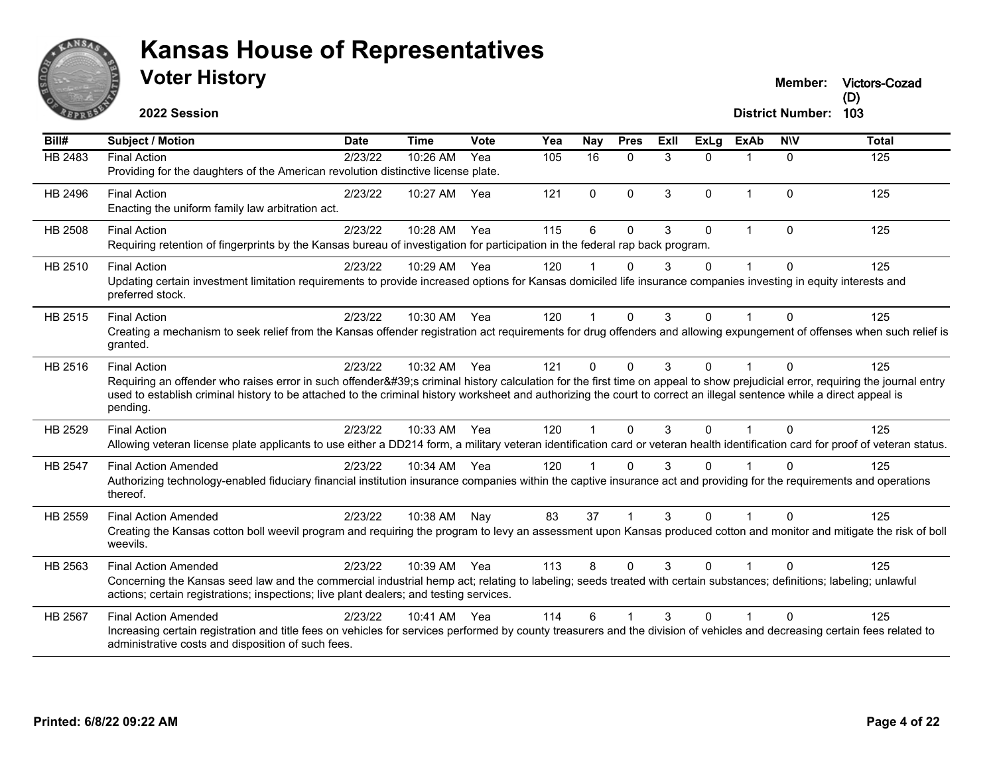

**2022 Session**

| Bill#          | <b>Subject / Motion</b>                                                                                                                                                                                                                                                                                                                                                                | <b>Date</b> | <b>Time</b> | Vote | Yea | Nay            | <b>Pres</b>    | ExII | <b>ExLg</b> | <b>ExAb</b>  | <b>NIV</b> | <b>Total</b> |
|----------------|----------------------------------------------------------------------------------------------------------------------------------------------------------------------------------------------------------------------------------------------------------------------------------------------------------------------------------------------------------------------------------------|-------------|-------------|------|-----|----------------|----------------|------|-------------|--------------|------------|--------------|
| <b>HB 2483</b> | <b>Final Action</b><br>Providing for the daughters of the American revolution distinctive license plate.                                                                                                                                                                                                                                                                               | 2/23/22     | 10:26 AM    | Yea  | 105 | 16             | $\Omega$       | 3    | $\Omega$    | $\mathbf 1$  | $\Omega$   | 125          |
| HB 2496        | <b>Final Action</b><br>Enacting the uniform family law arbitration act.                                                                                                                                                                                                                                                                                                                | 2/23/22     | 10:27 AM    | Yea  | 121 | $\Omega$       | $\Omega$       | 3    | $\Omega$    | $\mathbf{1}$ | $\Omega$   | 125          |
| HB 2508        | <b>Final Action</b><br>Requiring retention of fingerprints by the Kansas bureau of investigation for participation in the federal rap back program.                                                                                                                                                                                                                                    | 2/23/22     | 10:28 AM    | Yea  | 115 | 6              | $\Omega$       | 3    | 0           | $\mathbf{1}$ | $\Omega$   | 125          |
| HB 2510        | <b>Final Action</b><br>Updating certain investment limitation requirements to provide increased options for Kansas domiciled life insurance companies investing in equity interests and<br>preferred stock.                                                                                                                                                                            | 2/23/22     | 10:29 AM    | Yea  | 120 |                | O              | 3    | 0           |              | 0          | 125          |
| HB 2515        | <b>Final Action</b><br>Creating a mechanism to seek relief from the Kansas offender registration act requirements for drug offenders and allowing expungement of offenses when such relief is<br>granted.                                                                                                                                                                              | 2/23/22     | 10:30 AM    | Yea  | 120 | 1              | $\Omega$       | 3    | $\Omega$    |              | $\Omega$   | 125          |
| HB 2516        | <b>Final Action</b><br>Requiring an offender who raises error in such offender's criminal history calculation for the first time on appeal to show prejudicial error, requiring the journal entry<br>used to establish criminal history to be attached to the criminal history worksheet and authorizing the court to correct an illegal sentence while a direct appeal is<br>pending. | 2/23/22     | 10:32 AM    | Yea  | 121 | $\Omega$       | $\Omega$       | 3    | 0           |              | $\Omega$   | 125          |
| HB 2529        | <b>Final Action</b><br>Allowing veteran license plate applicants to use either a DD214 form, a military veteran identification card or veteran health identification card for proof of veteran status.                                                                                                                                                                                 | 2/23/22     | 10:33 AM    | Yea  | 120 | $\overline{1}$ | $\Omega$       | 3    | $\Omega$    | 1            | $\Omega$   | 125          |
| HB 2547        | <b>Final Action Amended</b><br>Authorizing technology-enabled fiduciary financial institution insurance companies within the captive insurance act and providing for the requirements and operations<br>thereof.                                                                                                                                                                       | 2/23/22     | 10:34 AM    | Yea  | 120 |                | $\mathbf{0}$   | 3    | 0           |              | $\Omega$   | 125          |
| HB 2559        | <b>Final Action Amended</b><br>Creating the Kansas cotton boll weevil program and requiring the program to levy an assessment upon Kansas produced cotton and monitor and mitigate the risk of boll<br>weevils.                                                                                                                                                                        | 2/23/22     | 10:38 AM    | Nay  | 83  | 37             | $\overline{1}$ | 3    | $\Omega$    | $\mathbf 1$  | $\Omega$   | 125          |
| HB 2563        | <b>Final Action Amended</b><br>Concerning the Kansas seed law and the commercial industrial hemp act; relating to labeling; seeds treated with certain substances; definitions; labeling; unlawful<br>actions; certain registrations; inspections; live plant dealers; and testing services.                                                                                           | 2/23/22     | 10:39 AM    | Yea  | 113 | 8              | $\Omega$       | 3    | $\Omega$    | 1            | $\Omega$   | 125          |
| HB 2567        | <b>Final Action Amended</b><br>Increasing certain registration and title fees on vehicles for services performed by county treasurers and the division of vehicles and decreasing certain fees related to<br>administrative costs and disposition of such fees.                                                                                                                        | 2/23/22     | 10:41 AM    | Yea  | 114 | 6              |                | 3    | 0           |              | $\Omega$   | 125          |

**Victors-Cozad**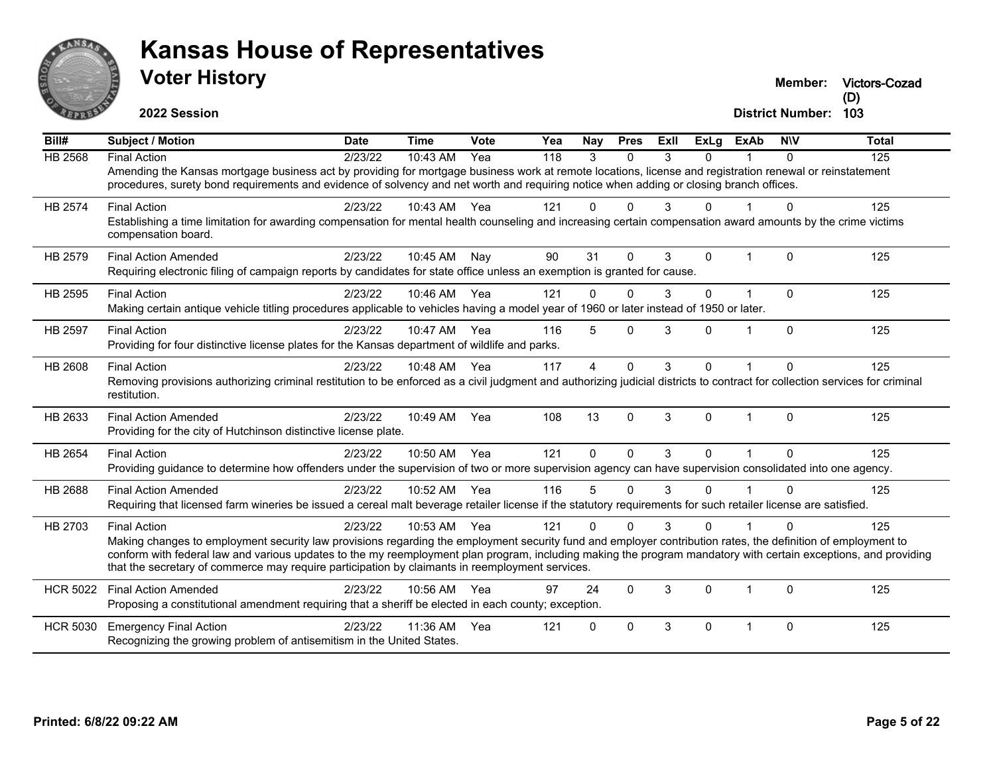

**Victors-Cozad**

**2022 Session**

| Bill#           | <b>Subject / Motion</b>                                                                                                                                                                                                                                                                                                                                                                                                                                   | <b>Date</b> | <b>Time</b> | Vote | Yea              | Nav                    | <b>Pres</b> | ExII | <b>ExLg</b>  | <b>ExAb</b>    | <b>NIV</b>   | <b>Total</b>     |
|-----------------|-----------------------------------------------------------------------------------------------------------------------------------------------------------------------------------------------------------------------------------------------------------------------------------------------------------------------------------------------------------------------------------------------------------------------------------------------------------|-------------|-------------|------|------------------|------------------------|-------------|------|--------------|----------------|--------------|------------------|
| <b>HB 2568</b>  | <b>Final Action</b><br>Amending the Kansas mortgage business act by providing for mortgage business work at remote locations, license and registration renewal or reinstatement<br>procedures, surety bond requirements and evidence of solvency and net worth and requiring notice when adding or closing branch offices.                                                                                                                                | 2/23/22     | 10:43 AM    | Yea  | $\overline{118}$ | 3                      | $\Omega$    | 3    | $\Omega$     |                | $\Omega$     | $\overline{125}$ |
| <b>HB 2574</b>  | <b>Final Action</b><br>Establishing a time limitation for awarding compensation for mental health counseling and increasing certain compensation award amounts by the crime victims<br>compensation board.                                                                                                                                                                                                                                                | 2/23/22     | 10:43 AM    | Yea  | 121              | $\Omega$               | $\Omega$    | 3    | $\Omega$     |                | $\Omega$     | 125              |
| HB 2579         | <b>Final Action Amended</b><br>Requiring electronic filing of campaign reports by candidates for state office unless an exemption is granted for cause.                                                                                                                                                                                                                                                                                                   | 2/23/22     | 10:45 AM    | Nay  | 90               | 31                     | $\Omega$    | 3    | 0            | 1              | $\Omega$     | 125              |
| HB 2595         | <b>Final Action</b><br>Making certain antique vehicle titling procedures applicable to vehicles having a model year of 1960 or later instead of 1950 or later.                                                                                                                                                                                                                                                                                            | 2/23/22     | 10:46 AM    | Yea  | 121              | 0                      | $\Omega$    | 3    | $\Omega$     | $\overline{1}$ | $\Omega$     | 125              |
| HB 2597         | <b>Final Action</b><br>Providing for four distinctive license plates for the Kansas department of wildlife and parks.                                                                                                                                                                                                                                                                                                                                     | 2/23/22     | 10:47 AM    | Yea  | 116              | 5                      | $\Omega$    | 3    | U            |                | $\Omega$     | 125              |
| HB 2608         | <b>Final Action</b><br>Removing provisions authorizing criminal restitution to be enforced as a civil judgment and authorizing judicial districts to contract for collection services for criminal<br>restitution.                                                                                                                                                                                                                                        | 2/23/22     | 10:48 AM    | Yea  | 117              | $\boldsymbol{\Lambda}$ | $\Omega$    | 3    | $\Omega$     |                | $\Omega$     | 125              |
| HB 2633         | <b>Final Action Amended</b><br>Providing for the city of Hutchinson distinctive license plate.                                                                                                                                                                                                                                                                                                                                                            | 2/23/22     | 10:49 AM    | Yea  | 108              | 13                     | $\Omega$    | 3    | $\mathbf{0}$ | $\mathbf{1}$   | $\Omega$     | 125              |
| HB 2654         | <b>Final Action</b><br>Providing guidance to determine how offenders under the supervision of two or more supervision agency can have supervision consolidated into one agency.                                                                                                                                                                                                                                                                           | 2/23/22     | 10:50 AM    | Yea  | 121              | $\Omega$               | $\Omega$    | 3    | $\Omega$     | $\overline{1}$ | $\Omega$     | 125              |
| HB 2688         | <b>Final Action Amended</b><br>Requiring that licensed farm wineries be issued a cereal malt beverage retailer license if the statutory requirements for such retailer license are satisfied.                                                                                                                                                                                                                                                             | 2/23/22     | 10:52 AM    | Yea  | 116              | 5                      | $\Omega$    | 3    | $\Omega$     |                | $\Omega$     | 125              |
| HB 2703         | <b>Final Action</b><br>Making changes to employment security law provisions regarding the employment security fund and employer contribution rates, the definition of employment to<br>conform with federal law and various updates to the my reemployment plan program, including making the program mandatory with certain exceptions, and providing<br>that the secretary of commerce may require participation by claimants in reemployment services. | 2/23/22     | 10:53 AM    | Yea  | 121              | $\Omega$               | 0           | 3    | n            |                | O            | 125              |
| <b>HCR 5022</b> | <b>Final Action Amended</b><br>Proposing a constitutional amendment requiring that a sheriff be elected in each county; exception.                                                                                                                                                                                                                                                                                                                        | 2/23/22     | 10:56 AM    | Yea  | 97               | 24                     | $\Omega$    | 3    | $\Omega$     | 1              | $\Omega$     | 125              |
| <b>HCR 5030</b> | <b>Emergency Final Action</b><br>Recognizing the growing problem of antisemitism in the United States.                                                                                                                                                                                                                                                                                                                                                    | 2/23/22     | 11:36 AM    | Yea  | 121              | $\mathbf{0}$           | $\Omega$    | 3    | $\Omega$     | 1              | $\mathbf{0}$ | 125              |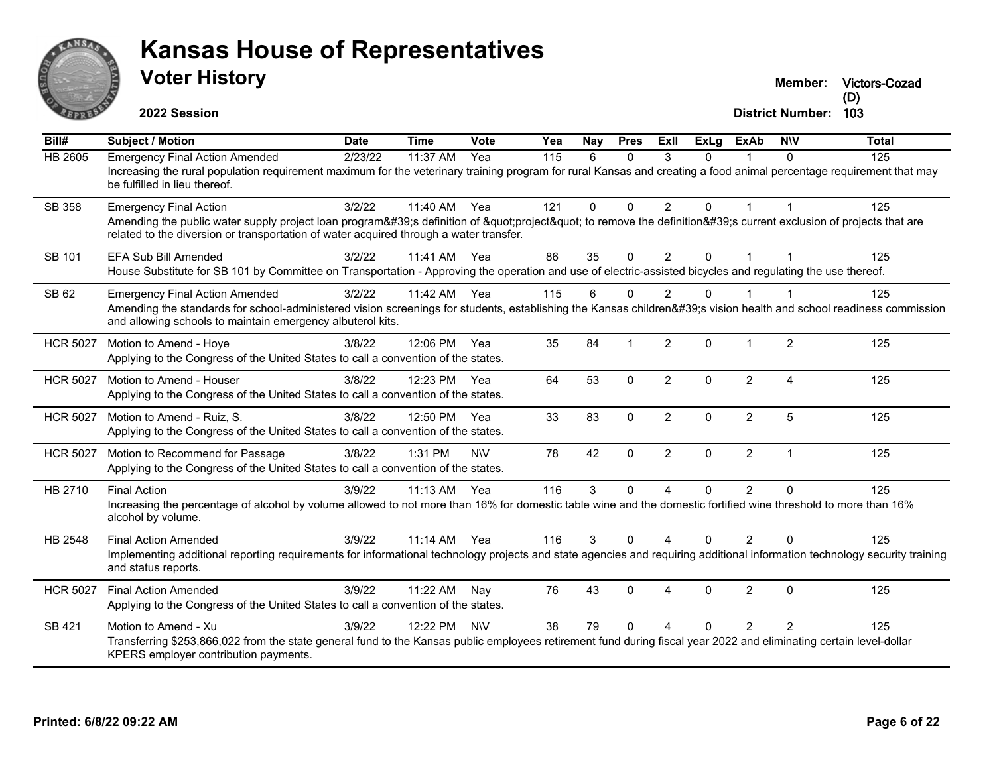

# **Voter History Kansas House of Representatives**

**Victors-Cozad (D)**

| $\overline{BiII#}$ | <b>Subject / Motion</b>                                                                                                                                                                                                                                                      | <b>Date</b> | <b>Time</b>  | <b>Vote</b> | Yea | Nay         | <b>Pres</b>  | ExIl           | <b>ExLg</b>  | <b>ExAb</b>    | <b>NIV</b>     | <b>Total</b> |
|--------------------|------------------------------------------------------------------------------------------------------------------------------------------------------------------------------------------------------------------------------------------------------------------------------|-------------|--------------|-------------|-----|-------------|--------------|----------------|--------------|----------------|----------------|--------------|
| <b>HB 2605</b>     | <b>Emergency Final Action Amended</b><br>Increasing the rural population requirement maximum for the veterinary training program for rural Kansas and creating a food animal percentage requirement that may<br>be fulfilled in lieu thereof.                                | 2/23/22     | 11:37 AM     | Yea         | 115 | 6           | $\Omega$     | 3              | $\Omega$     | 1              | $\Omega$       | 125          |
| SB 358             | <b>Emergency Final Action</b><br>Amending the public water supply project loan program's definition of "project" to remove the definition's current exclusion of projects that are<br>related to the diversion or transportation of water acquired through a water transfer. | 3/2/22      | 11:40 AM     | Yea         | 121 | $\mathbf 0$ | $\pmb{0}$    | $\overline{2}$ | $\mathbf 0$  | $\mathbf{1}$   | $\mathbf 1$    | 125          |
| SB 101             | <b>EFA Sub Bill Amended</b><br>House Substitute for SB 101 by Committee on Transportation - Approving the operation and use of electric-assisted bicycles and regulating the use thereof.                                                                                    | 3/2/22      | 11:41 AM Yea |             | 86  | 35          | $\mathbf{0}$ | $\overline{2}$ | $\Omega$     |                |                | 125          |
| SB 62              | <b>Emergency Final Action Amended</b><br>Amending the standards for school-administered vision screenings for students, establishing the Kansas children's vision health and school readiness commission<br>and allowing schools to maintain emergency albuterol kits.       | 3/2/22      | 11:42 AM     | Yea         | 115 | 6           | $\Omega$     | $\overline{2}$ | $\Omega$     | 1              |                | 125          |
| <b>HCR 5027</b>    | Motion to Amend - Hoye<br>Applying to the Congress of the United States to call a convention of the states.                                                                                                                                                                  | 3/8/22      | 12:06 PM     | Yea         | 35  | 84          | $\mathbf{1}$ | 2              | $\Omega$     | $\mathbf 1$    | 2              | 125          |
| <b>HCR 5027</b>    | Motion to Amend - Houser<br>Applying to the Congress of the United States to call a convention of the states.                                                                                                                                                                | 3/8/22      | 12:23 PM     | Yea         | 64  | 53          | $\mathbf{0}$ | $\overline{2}$ | $\mathbf{0}$ | $\overline{2}$ | $\overline{4}$ | 125          |
| <b>HCR 5027</b>    | Motion to Amend - Ruiz, S.<br>Applying to the Congress of the United States to call a convention of the states.                                                                                                                                                              | 3/8/22      | 12:50 PM Yea |             | 33  | 83          | $\mathbf{0}$ | 2              | $\mathbf{0}$ | 2              | 5              | 125          |
| <b>HCR 5027</b>    | Motion to Recommend for Passage<br>Applying to the Congress of the United States to call a convention of the states.                                                                                                                                                         | 3/8/22      | 1:31 PM      | <b>NV</b>   | 78  | 42          | $\mathbf 0$  | $\overline{2}$ | $\Omega$     | $\overline{2}$ | $\mathbf{1}$   | 125          |
| HB 2710            | <b>Final Action</b><br>Increasing the percentage of alcohol by volume allowed to not more than 16% for domestic table wine and the domestic fortified wine threshold to more than 16%<br>alcohol by volume.                                                                  | 3/9/22      | $11:13$ AM   | Yea         | 116 | 3           | $\mathbf{0}$ | 4              | $\Omega$     | $\overline{2}$ | $\mathbf{0}$   | 125          |
| HB 2548            | <b>Final Action Amended</b><br>Implementing additional reporting requirements for informational technology projects and state agencies and requiring additional information technology security training<br>and status reports.                                              | 3/9/22      | 11:14 AM Yea |             | 116 | 3           | $\Omega$     | 4              | $\Omega$     | $\overline{2}$ | $\Omega$       | 125          |
| <b>HCR 5027</b>    | <b>Final Action Amended</b><br>Applying to the Congress of the United States to call a convention of the states.                                                                                                                                                             | 3/9/22      | 11:22 AM     | Nay         | 76  | 43          | $\mathbf 0$  | 4              | $\mathbf{0}$ | $\overline{2}$ | $\mathbf{0}$   | 125          |
| SB 421             | Motion to Amend - Xu<br>Transferring \$253,866,022 from the state general fund to the Kansas public employees retirement fund during fiscal year 2022 and eliminating certain level-dollar<br>KPERS employer contribution payments.                                          | 3/9/22      | 12:22 PM     | <b>NIV</b>  | 38  | 79          | $\Omega$     | 4              | $\Omega$     | $\mathcal{P}$  | $\mathfrak{p}$ | 125          |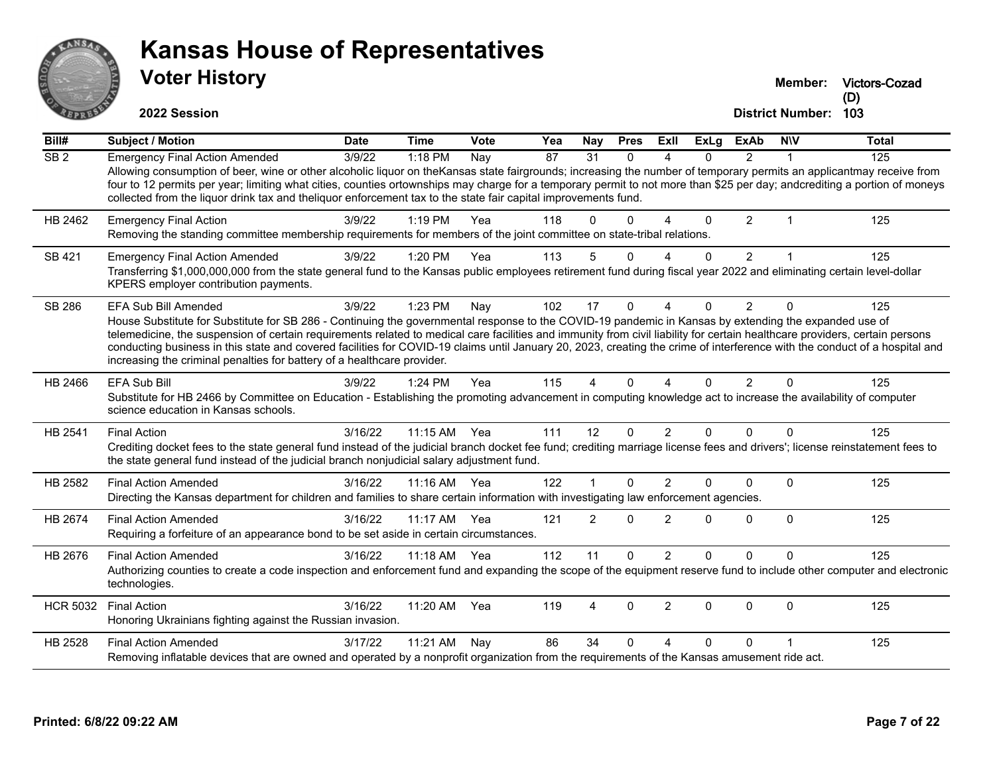

|                 | <b>VOTER HISTORY</b><br>2022 Session                                                                                                                                                                                                                                                                                                                                                                                                                                                                                                                                                                                         |             |           |      |     |     |             |      |      |               | Member:<br><b>District Number:</b> | <b>Victors-Cozad</b><br>(D)<br>103 |
|-----------------|------------------------------------------------------------------------------------------------------------------------------------------------------------------------------------------------------------------------------------------------------------------------------------------------------------------------------------------------------------------------------------------------------------------------------------------------------------------------------------------------------------------------------------------------------------------------------------------------------------------------------|-------------|-----------|------|-----|-----|-------------|------|------|---------------|------------------------------------|------------------------------------|
| Bill#           | <b>Subject / Motion</b>                                                                                                                                                                                                                                                                                                                                                                                                                                                                                                                                                                                                      | <b>Date</b> | Time      | Vote | Yea | Nay | <b>Pres</b> | ExII | ExLg | ExAb          | <b>NIV</b>                         | Total                              |
| SB <sub>2</sub> | <b>Emergency Final Action Amended</b><br>Allowing consumption of beer, wine or other alcoholic liquor on theKansas state fairgrounds; increasing the number of temporary permits an applicantmay receive from<br>four to 12 permits per year; limiting what cities, counties ortownships may charge for a temporary permit to not more than \$25 per day; andcrediting a portion of moneys<br>collected from the liquor drink tax and the liquor enforcement tax to the state fair capital improvements fund.                                                                                                                | 3/9/22      | 1:18 PM   | Nay  | 87  | 31  |             |      |      |               |                                    | 125                                |
| HB 2462         | <b>Emergency Final Action</b><br>Removing the standing committee membership requirements for members of the joint committee on state-tribal relations.                                                                                                                                                                                                                                                                                                                                                                                                                                                                       | 3/9/22      | $1:19$ PM | Yea  | 118 |     |             |      |      | $\mathcal{P}$ |                                    | 125                                |
| SB 421          | <b>Emergency Final Action Amended</b><br>Transferring \$1,000,000,000 from the state general fund to the Kansas public employees retirement fund during fiscal year 2022 and eliminating certain level-dollar<br>KPERS employer contribution payments.                                                                                                                                                                                                                                                                                                                                                                       | 3/9/22      | $1:20$ PM | Yea  | 113 |     |             |      |      | 2             |                                    | 125                                |
| SB 286          | <b>EFA Sub Bill Amended</b><br>House Substitute for Substitute for SB 286 - Continuing the governmental response to the COVID-19 pandemic in Kansas by extending the expanded use of<br>telemedicine, the suspension of certain requirements related to medical care facilities and immunity from civil liability for certain healthcare providers, certain persons<br>conducting business in this state and covered facilities for COVID-19 claims until January 20, 2023, creating the crime of interference with the conduct of a hospital and<br>increasing the criminal penalties for battery of a healthcare provider. | 3/9/22      | 1:23 PM   | Nay  | 102 | 17  |             |      |      | 2             |                                    | 125                                |
| HB 2466         | <b>EFA Sub Bill</b><br>Substitute for HB 2466 by Committee on Education - Establishing the promoting advancement in computing knowledge act to increase the availability of computer<br>science education in Kansas schools.                                                                                                                                                                                                                                                                                                                                                                                                 | 3/9/22      | $1:24$ PM | Yea  | 115 |     |             |      | 0    | 2             |                                    | 125                                |

| HB 2541 | Final Action                                                                                                                                                                                                                                                             | 3/16/22 | 11:15 AM | Yea | 111 | 12 |  |  | 125 |
|---------|--------------------------------------------------------------------------------------------------------------------------------------------------------------------------------------------------------------------------------------------------------------------------|---------|----------|-----|-----|----|--|--|-----|
|         | Crediting docket fees to the state general fund instead of the judicial branch docket fee fund; crediting marriage license fees and drivers'; license reinstatement fees to<br>the state general fund instead of the judicial branch nonjudicial salary adjustment fund. |         |          |     |     |    |  |  |     |
| HB 2582 | Final Action Amended                                                                                                                                                                                                                                                     | 3/16/22 | 11:16 AM | Yea | 122 |    |  |  | 125 |
|         | Directing the Kansas department for children and families to share certain information with investigating law enforcement agencies.                                                                                                                                      |         |          |     |     |    |  |  |     |
| HB 2674 | Final Action Amended                                                                                                                                                                                                                                                     | 3/16/22 | 11:17 AM | Yea | 121 |    |  |  | 125 |
|         | Requiring a forfeiture of an appearance bond to be set aside in certain circumstances.                                                                                                                                                                                   |         |          |     |     |    |  |  |     |

| HB 2676         | Final Action Amended                                                                                                                                                                  | 3/16/22 | 11:18 AM Yea |     | 112 | 11   | - 0            |   |  | 125 |
|-----------------|---------------------------------------------------------------------------------------------------------------------------------------------------------------------------------------|---------|--------------|-----|-----|------|----------------|---|--|-----|
|                 | Authorizing counties to create a code inspection and enforcement fund and expanding the scope of the equipment reserve fund to include other computer and electronic<br>technologies. |         |              |     |     |      |                |   |  |     |
| <b>HCR 5032</b> | Final Action                                                                                                                                                                          | 3/16/22 | 11:20 AM     | Yea | 119 |      | - 0            |   |  | 125 |
|                 | Honoring Ukrainians fighting against the Russian invasion.                                                                                                                            |         |              |     |     |      |                |   |  |     |
| HB 2528         | Final Action Amended                                                                                                                                                                  | 3/17/22 | 11:21 AM Nay |     | 86  | - 34 | $\overline{0}$ | 4 |  | 125 |
|                 | Removing inflatable devices that are owned and operated by a nonprofit organization from the requirements of the Kansas amusement ride act.                                           |         |              |     |     |      |                |   |  |     |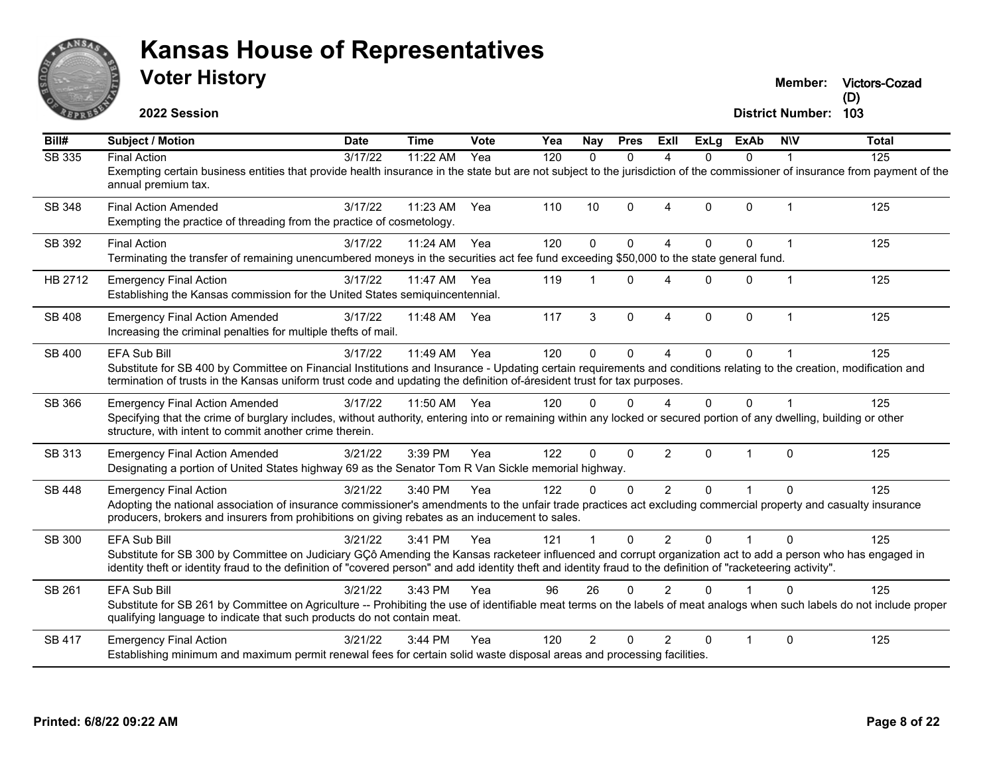

**2022 Session**

**Victors-Cozad (D)**

| Bill#         | <b>Subject / Motion</b>                                                                                                                                                                                                                                                                                                                        | <b>Date</b> | <b>Time</b>  | <b>Vote</b> | Yea | Nay            | <b>Pres</b>  | ExII           | ExLg     | <b>ExAb</b>  | <b>NIV</b>     | <b>Total</b> |
|---------------|------------------------------------------------------------------------------------------------------------------------------------------------------------------------------------------------------------------------------------------------------------------------------------------------------------------------------------------------|-------------|--------------|-------------|-----|----------------|--------------|----------------|----------|--------------|----------------|--------------|
| SB 335        | <b>Final Action</b><br>Exempting certain business entities that provide health insurance in the state but are not subject to the jurisdiction of the commissioner of insurance from payment of the<br>annual premium tax.                                                                                                                      | 3/17/22     | 11:22 AM     | Yea         | 120 | $\Omega$       | $\Omega$     | Δ              | $\Omega$ | $\Omega$     |                | 125          |
| <b>SB 348</b> | <b>Final Action Amended</b><br>Exempting the practice of threading from the practice of cosmetology.                                                                                                                                                                                                                                           | 3/17/22     | 11:23 AM     | Yea         | 110 | 10             | $\mathbf{0}$ | 4              | 0        | $\mathbf 0$  | -1             | 125          |
| SB 392        | <b>Final Action</b><br>Terminating the transfer of remaining unencumbered moneys in the securities act fee fund exceeding \$50,000 to the state general fund.                                                                                                                                                                                  | 3/17/22     | 11:24 AM     | Yea         | 120 | $\Omega$       | $\Omega$     | 4              | $\Omega$ | $\mathbf{0}$ | -1             | 125          |
| HB 2712       | <b>Emergency Final Action</b><br>Establishing the Kansas commission for the United States semiquincentennial.                                                                                                                                                                                                                                  | 3/17/22     | 11:47 AM     | Yea         | 119 | $\overline{1}$ | $\Omega$     | 4              | $\Omega$ | $\mathbf 0$  | $\overline{1}$ | 125          |
| <b>SB 408</b> | <b>Emergency Final Action Amended</b><br>Increasing the criminal penalties for multiple thefts of mail.                                                                                                                                                                                                                                        | 3/17/22     | 11:48 AM Yea |             | 117 | 3              | $\mathbf 0$  | $\Delta$       | 0        | $\pmb{0}$    | 1              | 125          |
| SB 400        | EFA Sub Bill<br>Substitute for SB 400 by Committee on Financial Institutions and Insurance - Updating certain requirements and conditions relating to the creation, modification and<br>termination of trusts in the Kansas uniform trust code and updating the definition of-áresident trust for tax purposes.                                | 3/17/22     | 11:49 AM     | Yea         | 120 | $\Omega$       | $\Omega$     | 4              | $\Omega$ | $\mathbf{0}$ |                | 125          |
| SB 366        | <b>Emergency Final Action Amended</b><br>Specifying that the crime of burglary includes, without authority, entering into or remaining within any locked or secured portion of any dwelling, building or other<br>structure, with intent to commit another crime therein.                                                                      | 3/17/22     | 11:50 AM Yea |             | 120 | $\Omega$       | $\Omega$     | 4              | 0        | $\Omega$     |                | 125          |
| SB 313        | <b>Emergency Final Action Amended</b><br>Designating a portion of United States highway 69 as the Senator Tom R Van Sickle memorial highway.                                                                                                                                                                                                   | 3/21/22     | 3:39 PM      | Yea         | 122 | $\Omega$       | $\Omega$     | $\overline{2}$ | $\Omega$ |              | $\Omega$       | 125          |
| SB 448        | <b>Emergency Final Action</b><br>Adopting the national association of insurance commissioner's amendments to the unfair trade practices act excluding commercial property and casualty insurance<br>producers, brokers and insurers from prohibitions on giving rebates as an inducement to sales.                                             | 3/21/22     | 3:40 PM      | Yea         | 122 | $\Omega$       | $\Omega$     | $\overline{2}$ | $\Omega$ |              | $\Omega$       | 125          |
| SB 300        | EFA Sub Bill<br>Substitute for SB 300 by Committee on Judiciary GCô Amending the Kansas racketeer influenced and corrupt organization act to add a person who has engaged in<br>identity theft or identity fraud to the definition of "covered person" and add identity theft and identity fraud to the definition of "racketeering activity". | 3/21/22     | 3:41 PM      | Yea         | 121 |                | $\Omega$     | 2              | $\Omega$ |              | U              | 125          |
| SB 261        | <b>EFA Sub Bill</b><br>Substitute for SB 261 by Committee on Agriculture -- Prohibiting the use of identifiable meat terms on the labels of meat analogs when such labels do not include proper<br>qualifying language to indicate that such products do not contain meat.                                                                     | 3/21/22     | 3:43 PM      | Yea         | 96  | 26             | $\Omega$     | $\mathfrak{p}$ | $\Omega$ |              | U              | 125          |
| SB 417        | <b>Emergency Final Action</b><br>Establishing minimum and maximum permit renewal fees for certain solid waste disposal areas and processing facilities.                                                                                                                                                                                        | 3/21/22     | 3:44 PM      | Yea         | 120 | 2              | $\Omega$     | $\mathcal{P}$  | $\Omega$ |              | $\Omega$       | 125          |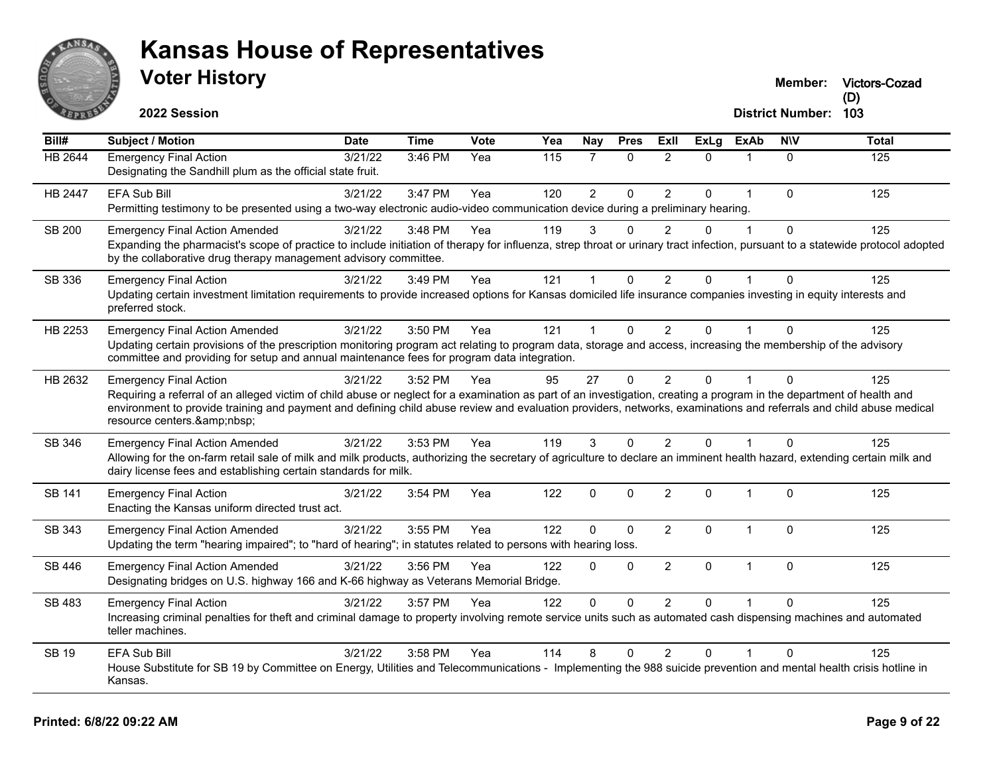

**Victors-Cozad**

**2022 Session**

| Bill#          | <b>Subject / Motion</b>                                                                                                                                                                                                                                                                                                                                                                           | <b>Date</b> | <b>Time</b> | <b>Vote</b> | Yea | <b>Nay</b>     | <b>Pres</b>  | ExII           | <b>ExLg</b>  | <b>ExAb</b>  | <b>NIV</b>   | <b>Total</b> |
|----------------|---------------------------------------------------------------------------------------------------------------------------------------------------------------------------------------------------------------------------------------------------------------------------------------------------------------------------------------------------------------------------------------------------|-------------|-------------|-------------|-----|----------------|--------------|----------------|--------------|--------------|--------------|--------------|
| <b>HB 2644</b> | <b>Emergency Final Action</b><br>Designating the Sandhill plum as the official state fruit.                                                                                                                                                                                                                                                                                                       | 3/21/22     | 3:46 PM     | Yea         | 115 |                | $\Omega$     | $\overline{2}$ | $\Omega$     | $\mathbf{1}$ | 0            | 125          |
| HB 2447        | EFA Sub Bill<br>Permitting testimony to be presented using a two-way electronic audio-video communication device during a preliminary hearing.                                                                                                                                                                                                                                                    | 3/21/22     | 3:47 PM     | Yea         | 120 | $\overline{2}$ | $\mathbf 0$  | $\overline{2}$ | $\mathbf 0$  | 1            | $\Omega$     | 125          |
| SB 200         | <b>Emergency Final Action Amended</b><br>Expanding the pharmacist's scope of practice to include initiation of therapy for influenza, strep throat or urinary tract infection, pursuant to a statewide protocol adopted<br>by the collaborative drug therapy management advisory committee.                                                                                                       | 3/21/22     | 3:48 PM     | Yea         | 119 | 3              | 0            | $\mathcal{P}$  | $\Omega$     |              | $\Omega$     | 125          |
| SB 336         | <b>Emergency Final Action</b><br>Updating certain investment limitation requirements to provide increased options for Kansas domiciled life insurance companies investing in equity interests and<br>preferred stock.                                                                                                                                                                             | 3/21/22     | 3:49 PM     | Yea         | 121 | -1             | $\mathbf{0}$ | $\overline{2}$ | $\mathbf{0}$ | 1            | $\Omega$     | 125          |
| HB 2253        | <b>Emergency Final Action Amended</b><br>Updating certain provisions of the prescription monitoring program act relating to program data, storage and access, increasing the membership of the advisory<br>committee and providing for setup and annual maintenance fees for program data integration.                                                                                            | 3/21/22     | 3:50 PM     | Yea         | 121 | $\overline{1}$ | $\mathbf{0}$ | $\overline{2}$ | $\mathbf{0}$ | 1            | $\Omega$     | 125          |
| HB 2632        | <b>Emergency Final Action</b><br>Requiring a referral of an alleged victim of child abuse or neglect for a examination as part of an investigation, creating a program in the department of health and<br>environment to provide training and payment and defining child abuse review and evaluation providers, networks, examinations and referrals and child abuse medical<br>resource centers. | 3/21/22     | 3:52 PM     | Yea         | 95  | 27             | $\Omega$     | $\overline{2}$ | $\Omega$     |              | $\Omega$     | 125          |
| SB 346         | <b>Emergency Final Action Amended</b><br>Allowing for the on-farm retail sale of milk and milk products, authorizing the secretary of agriculture to declare an imminent health hazard, extending certain milk and<br>dairy license fees and establishing certain standards for milk.                                                                                                             | 3/21/22     | 3:53 PM     | Yea         | 119 | 3              | $\mathbf{0}$ | $\overline{2}$ | 0            | 1            | $\Omega$     | 125          |
| <b>SB 141</b>  | <b>Emergency Final Action</b><br>Enacting the Kansas uniform directed trust act.                                                                                                                                                                                                                                                                                                                  | 3/21/22     | 3:54 PM     | Yea         | 122 | $\mathbf{0}$   | $\Omega$     | $\overline{2}$ | $\mathbf{0}$ | 1            | $\Omega$     | 125          |
| SB 343         | <b>Emergency Final Action Amended</b><br>Updating the term "hearing impaired"; to "hard of hearing"; in statutes related to persons with hearing loss.                                                                                                                                                                                                                                            | 3/21/22     | 3:55 PM     | Yea         | 122 | $\Omega$       | $\Omega$     | $\overline{2}$ | $\Omega$     | $\mathbf{1}$ | $\Omega$     | 125          |
| SB 446         | <b>Emergency Final Action Amended</b><br>Designating bridges on U.S. highway 166 and K-66 highway as Veterans Memorial Bridge.                                                                                                                                                                                                                                                                    | 3/21/22     | 3:56 PM     | Yea         | 122 | $\mathbf 0$    | $\mathbf{0}$ | $\overline{2}$ | $\mathbf 0$  | $\mathbf{1}$ | $\mathbf{0}$ | 125          |
| <b>SB 483</b>  | <b>Emergency Final Action</b><br>Increasing criminal penalties for theft and criminal damage to property involving remote service units such as automated cash dispensing machines and automated<br>teller machines.                                                                                                                                                                              | 3/21/22     | 3:57 PM     | Yea         | 122 | $\mathbf{0}$   | $\mathbf{0}$ | $\overline{2}$ | $\mathbf{0}$ | $\mathbf{1}$ | $\Omega$     | 125          |
| <b>SB 19</b>   | <b>EFA Sub Bill</b><br>House Substitute for SB 19 by Committee on Energy, Utilities and Telecommunications - Implementing the 988 suicide prevention and mental health crisis hotline in<br>Kansas.                                                                                                                                                                                               | 3/21/22     | 3:58 PM     | Yea         | 114 | 8              | $\Omega$     | $\overline{2}$ | $\Omega$     |              | $\Omega$     | 125          |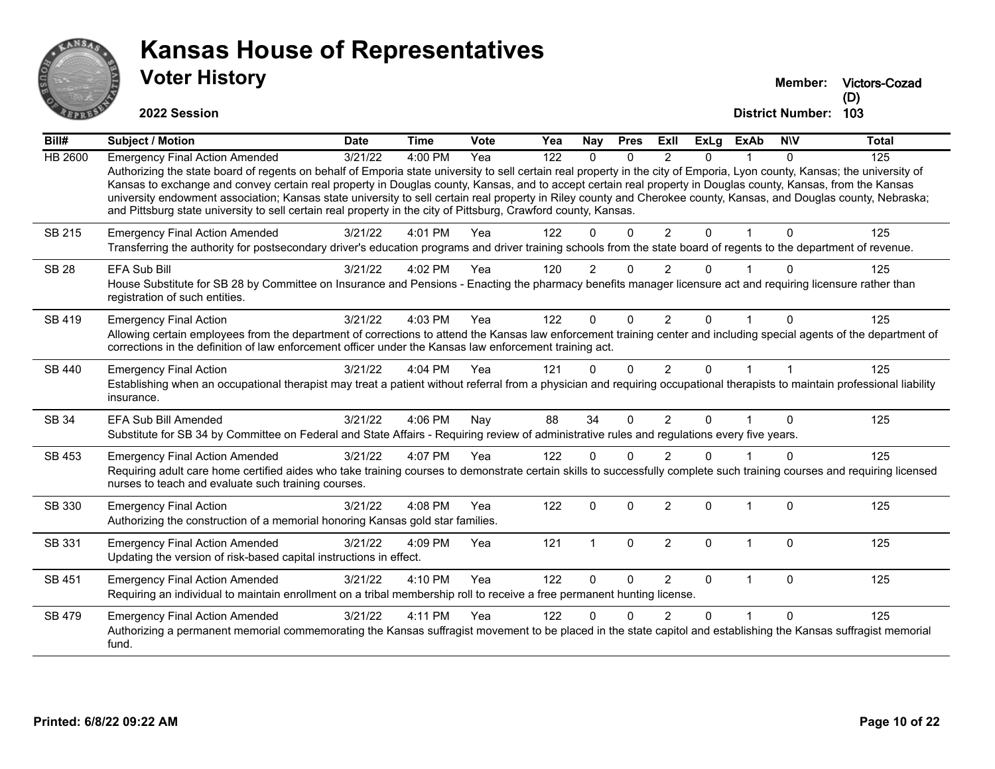

# **Voter History Kansas House of Representatives**

**Victors-Cozad (D)**

| Bill#        | Subject / Motion                                                                                                                                                                                                                                                                                                                           | <b>Date</b> | <b>Time</b> | Vote | Yea | Nay            | <b>Pres</b>  | ExII           | <b>ExLg</b> | <b>ExAb</b>  | <b>NIV</b>   | <b>Total</b> |
|--------------|--------------------------------------------------------------------------------------------------------------------------------------------------------------------------------------------------------------------------------------------------------------------------------------------------------------------------------------------|-------------|-------------|------|-----|----------------|--------------|----------------|-------------|--------------|--------------|--------------|
| HB 2600      | <b>Emergency Final Action Amended</b>                                                                                                                                                                                                                                                                                                      | 3/21/22     | 4:00 PM     | Yea  | 122 | $\Omega$       | $\Omega$     | $\mathcal{P}$  | 0           |              | $\Omega$     | 125          |
|              | Authorizing the state board of regents on behalf of Emporia state university to sell certain real property in the city of Emporia, Lyon county, Kansas; the university of<br>Kansas to exchange and convey certain real property in Douglas county, Kansas, and to accept certain real property in Douglas county, Kansas, from the Kansas |             |             |      |     |                |              |                |             |              |              |              |
|              | university endowment association; Kansas state university to sell certain real property in Riley county and Cherokee county, Kansas, and Douglas county, Nebraska;                                                                                                                                                                         |             |             |      |     |                |              |                |             |              |              |              |
|              | and Pittsburg state university to sell certain real property in the city of Pittsburg, Crawford county, Kansas.                                                                                                                                                                                                                            |             |             |      |     |                |              |                |             |              |              |              |
| SB 215       | <b>Emergency Final Action Amended</b>                                                                                                                                                                                                                                                                                                      | 3/21/22     | 4:01 PM     | Yea  | 122 | 0              | $\Omega$     | $\overline{2}$ | $\Omega$    | 1            | $\Omega$     | 125          |
|              | Transferring the authority for postsecondary driver's education programs and driver training schools from the state board of regents to the department of revenue.                                                                                                                                                                         |             |             |      |     |                |              |                |             |              |              |              |
| <b>SB 28</b> | EFA Sub Bill                                                                                                                                                                                                                                                                                                                               | 3/21/22     | 4:02 PM     | Yea  | 120 | $\overline{2}$ | $\Omega$     | $\mathfrak{p}$ | U           |              | O            | 125          |
|              | House Substitute for SB 28 by Committee on Insurance and Pensions - Enacting the pharmacy benefits manager licensure act and requiring licensure rather than<br>registration of such entities.                                                                                                                                             |             |             |      |     |                |              |                |             |              |              |              |
| SB 419       | <b>Emergency Final Action</b>                                                                                                                                                                                                                                                                                                              | 3/21/22     | 4:03 PM     | Yea  | 122 | $\Omega$       | $\Omega$     | $\mathcal{P}$  | $\Omega$    |              | $\Omega$     | 125          |
|              | Allowing certain employees from the department of corrections to attend the Kansas law enforcement training center and including special agents of the department of                                                                                                                                                                       |             |             |      |     |                |              |                |             |              |              |              |
|              | corrections in the definition of law enforcement officer under the Kansas law enforcement training act.                                                                                                                                                                                                                                    |             |             |      |     |                |              |                |             |              |              |              |
| SB 440       | <b>Emergency Final Action</b>                                                                                                                                                                                                                                                                                                              | 3/21/22     | 4:04 PM     | Yea  | 121 | 0              | $\Omega$     | $\overline{2}$ | $\Omega$    |              |              | 125          |
|              | Establishing when an occupational therapist may treat a patient without referral from a physician and requiring occupational therapists to maintain professional liability<br>insurance.                                                                                                                                                   |             |             |      |     |                |              |                |             |              |              |              |
| SB 34        | EFA Sub Bill Amended                                                                                                                                                                                                                                                                                                                       | 3/21/22     | 4:06 PM     | Nay  | 88  | 34             | $\Omega$     | $\overline{2}$ | $\Omega$    |              | $\Omega$     | 125          |
|              | Substitute for SB 34 by Committee on Federal and State Affairs - Requiring review of administrative rules and regulations every five years.                                                                                                                                                                                                |             |             |      |     |                |              |                |             |              |              |              |
| SB 453       | <b>Emergency Final Action Amended</b>                                                                                                                                                                                                                                                                                                      | 3/21/22     | 4:07 PM     | Yea  | 122 | 0              | $\Omega$     | $\overline{2}$ | 0           |              | $\Omega$     | 125          |
|              | Requiring adult care home certified aides who take training courses to demonstrate certain skills to successfully complete such training courses and requiring licensed<br>nurses to teach and evaluate such training courses.                                                                                                             |             |             |      |     |                |              |                |             |              |              |              |
| SB 330       | <b>Emergency Final Action</b>                                                                                                                                                                                                                                                                                                              | 3/21/22     | 4:08 PM     | Yea  | 122 | $\mathbf 0$    | $\Omega$     | $\overline{2}$ | $\Omega$    | $\mathbf{1}$ | $\Omega$     | 125          |
|              | Authorizing the construction of a memorial honoring Kansas gold star families.                                                                                                                                                                                                                                                             |             |             |      |     |                |              |                |             |              |              |              |
| SB 331       | <b>Emergency Final Action Amended</b>                                                                                                                                                                                                                                                                                                      | 3/21/22     | 4:09 PM     | Yea  | 121 | $\overline{1}$ | $\mathbf 0$  | $\overline{2}$ | $\Omega$    | $\mathbf{1}$ | $\mathbf{0}$ | 125          |
|              | Updating the version of risk-based capital instructions in effect.                                                                                                                                                                                                                                                                         |             |             |      |     |                |              |                |             |              |              |              |
| SB 451       | <b>Emergency Final Action Amended</b>                                                                                                                                                                                                                                                                                                      | 3/21/22     | 4:10 PM     | Yea  | 122 | 0              | $\mathbf{0}$ | $\mathcal{P}$  | $\Omega$    | 1            | $\Omega$     | 125          |
|              | Requiring an individual to maintain enrollment on a tribal membership roll to receive a free permanent hunting license.                                                                                                                                                                                                                    |             |             |      |     |                |              |                |             |              |              |              |
| SB 479       | <b>Emergency Final Action Amended</b>                                                                                                                                                                                                                                                                                                      | 3/21/22     | 4:11 PM     | Yea  | 122 | 0              | $\Omega$     | $\overline{2}$ | $\Omega$    | 1            | $\Omega$     | 125          |
|              | Authorizing a permanent memorial commemorating the Kansas suffragist movement to be placed in the state capitol and establishing the Kansas suffragist memorial<br>fund.                                                                                                                                                                   |             |             |      |     |                |              |                |             |              |              |              |
|              |                                                                                                                                                                                                                                                                                                                                            |             |             |      |     |                |              |                |             |              |              |              |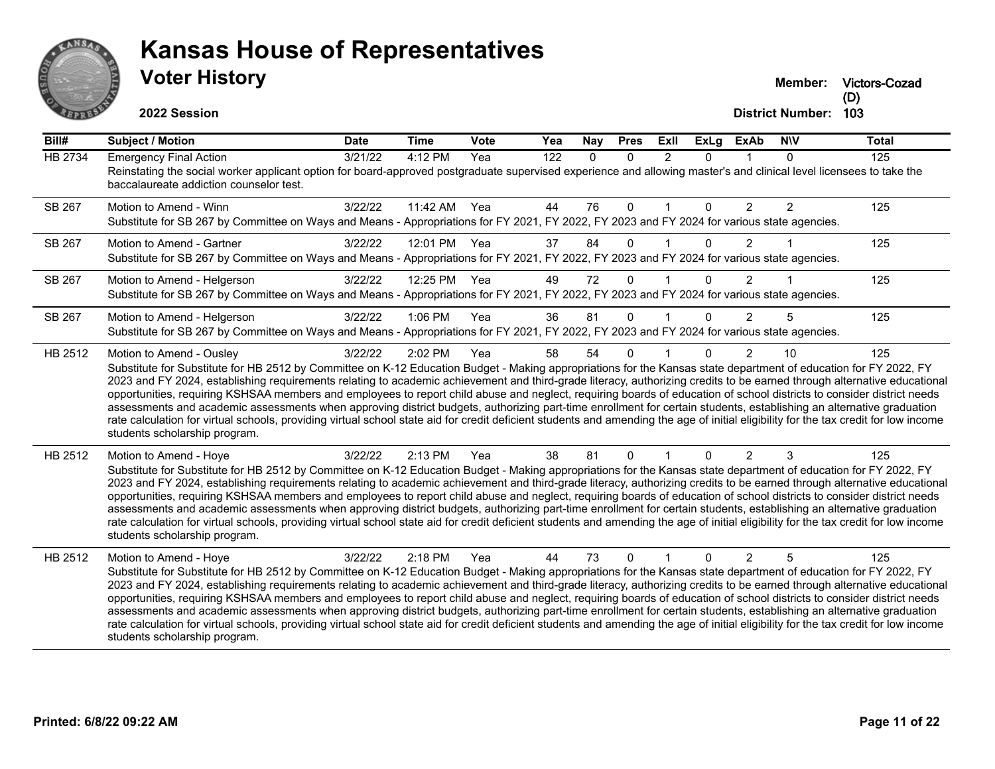

**Victors-Cozad**

**2022 Session**

| $\overline{Bill#}$ | <b>Subject / Motion</b>                                                                                                                                                                                                                                                                                                                                     | <b>Date</b> | <b>Time</b>  | Vote | Yea | Nay          | <b>Pres</b>  | ExII           | <b>ExLg</b> | <b>ExAb</b>    | <b>NIV</b>     | Total |
|--------------------|-------------------------------------------------------------------------------------------------------------------------------------------------------------------------------------------------------------------------------------------------------------------------------------------------------------------------------------------------------------|-------------|--------------|------|-----|--------------|--------------|----------------|-------------|----------------|----------------|-------|
| <b>HB 2734</b>     | <b>Emergency Final Action</b>                                                                                                                                                                                                                                                                                                                               | 3/21/22     | 4:12 PM      | Yea  | 122 | $\mathbf{0}$ | $\mathbf{0}$ | $\overline{2}$ | 0           |                | 0              | 125   |
|                    | Reinstating the social worker applicant option for board-approved postgraduate supervised experience and allowing master's and clinical level licensees to take the<br>baccalaureate addiction counselor test.                                                                                                                                              |             |              |      |     |              |              |                |             |                |                |       |
| SB 267             | Motion to Amend - Winn                                                                                                                                                                                                                                                                                                                                      | 3/22/22     | 11:42 AM Yea |      | 44  | 76           | $\mathbf{0}$ |                | 0           | $\overline{2}$ | $\overline{2}$ | 125   |
|                    | Substitute for SB 267 by Committee on Ways and Means - Appropriations for FY 2021, FY 2022, FY 2023 and FY 2024 for various state agencies.                                                                                                                                                                                                                 |             |              |      |     |              |              |                |             |                |                |       |
| SB 267             | Motion to Amend - Gartner<br>Substitute for SB 267 by Committee on Ways and Means - Appropriations for FY 2021, FY 2022, FY 2023 and FY 2024 for various state agencies.                                                                                                                                                                                    | 3/22/22     | 12:01 PM Yea |      | 37  | 84           | $\mathbf 0$  |                | $\Omega$    | $\overline{2}$ |                | 125   |
| SB 267             | Motion to Amend - Helgerson                                                                                                                                                                                                                                                                                                                                 | 3/22/22     | 12:25 PM Yea |      | 49  | 72           | $\mathbf{0}$ | $\overline{1}$ | $\Omega$    | 2              |                | 125   |
|                    | Substitute for SB 267 by Committee on Ways and Means - Appropriations for FY 2021, FY 2022, FY 2023 and FY 2024 for various state agencies.                                                                                                                                                                                                                 |             |              |      |     |              |              |                |             |                |                |       |
| SB 267             | Motion to Amend - Helgerson                                                                                                                                                                                                                                                                                                                                 | 3/22/22     | 1:06 PM      | Yea  | 36  | 81           | $\Omega$     |                | 0           | $\overline{2}$ | 5              | 125   |
|                    | Substitute for SB 267 by Committee on Ways and Means - Appropriations for FY 2021, FY 2022, FY 2023 and FY 2024 for various state agencies.                                                                                                                                                                                                                 |             |              |      |     |              |              |                |             |                |                |       |
| HB 2512            | Motion to Amend - Ousley                                                                                                                                                                                                                                                                                                                                    | 3/22/22     | 2:02 PM      | Yea  | 58  | 54           | $\mathbf{0}$ |                | 0           | $\overline{2}$ | 10             | 125   |
|                    | Substitute for Substitute for HB 2512 by Committee on K-12 Education Budget - Making appropriations for the Kansas state department of education for FY 2022, FY<br>2023 and FY 2024, establishing requirements relating to academic achievement and third-grade literacy, authorizing credits to be earned through alternative educational                 |             |              |      |     |              |              |                |             |                |                |       |
|                    | opportunities, requiring KSHSAA members and employees to report child abuse and neglect, requiring boards of education of school districts to consider district needs                                                                                                                                                                                       |             |              |      |     |              |              |                |             |                |                |       |
|                    | assessments and academic assessments when approving district budgets, authorizing part-time enrollment for certain students, establishing an alternative graduation<br>rate calculation for virtual schools, providing virtual school state aid for credit deficient students and amending the age of initial eligibility for the tax credit for low income |             |              |      |     |              |              |                |             |                |                |       |
|                    | students scholarship program.                                                                                                                                                                                                                                                                                                                               |             |              |      |     |              |              |                |             |                |                |       |
| HB 2512            | Motion to Amend - Hoye                                                                                                                                                                                                                                                                                                                                      | 3/22/22     | 2:13 PM      | Yea  | 38  | 81           | $\mathbf{0}$ |                | 0           | $\overline{2}$ | 3              | 125   |
|                    | Substitute for Substitute for HB 2512 by Committee on K-12 Education Budget - Making appropriations for the Kansas state department of education for FY 2022, FY                                                                                                                                                                                            |             |              |      |     |              |              |                |             |                |                |       |
|                    | 2023 and FY 2024, establishing requirements relating to academic achievement and third-grade literacy, authorizing credits to be earned through alternative educational<br>opportunities, requiring KSHSAA members and employees to report child abuse and neglect, requiring boards of education of school districts to consider district needs            |             |              |      |     |              |              |                |             |                |                |       |
|                    | assessments and academic assessments when approving district budgets, authorizing part-time enrollment for certain students, establishing an alternative graduation                                                                                                                                                                                         |             |              |      |     |              |              |                |             |                |                |       |
|                    | rate calculation for virtual schools, providing virtual school state aid for credit deficient students and amending the age of initial eligibility for the tax credit for low income                                                                                                                                                                        |             |              |      |     |              |              |                |             |                |                |       |
|                    | students scholarship program.                                                                                                                                                                                                                                                                                                                               |             |              |      |     |              |              |                |             |                |                |       |
| HB 2512            | Motion to Amend - Hove                                                                                                                                                                                                                                                                                                                                      | 3/22/22     | 2:18 PM      | Yea  | 44  | 73           | $\Omega$     |                | 0           | $\overline{2}$ | 5              | 125   |
|                    | Substitute for Substitute for HB 2512 by Committee on K-12 Education Budget - Making appropriations for the Kansas state department of education for FY 2022, FY<br>2023 and FY 2024, establishing requirements relating to academic achievement and third-grade literacy, authorizing credits to be earned through alternative educational                 |             |              |      |     |              |              |                |             |                |                |       |
|                    | opportunities, requiring KSHSAA members and employees to report child abuse and neglect, requiring boards of education of school districts to consider district needs                                                                                                                                                                                       |             |              |      |     |              |              |                |             |                |                |       |
|                    | assessments and academic assessments when approving district budgets, authorizing part-time enrollment for certain students, establishing an alternative graduation<br>rate calculation for virtual schools, providing virtual school state aid for credit deficient students and amending the age of initial eligibility for the tax credit for low income |             |              |      |     |              |              |                |             |                |                |       |
|                    | students scholarship program.                                                                                                                                                                                                                                                                                                                               |             |              |      |     |              |              |                |             |                |                |       |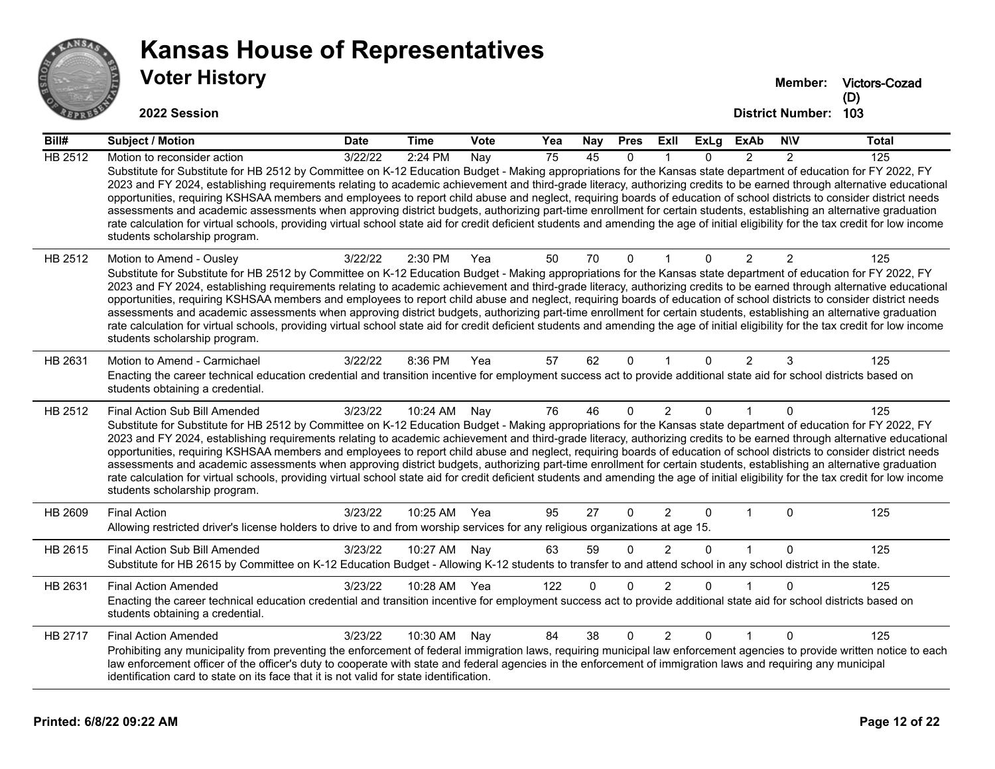

## **Voter History Kansas House of Representatives**

**Victors-Cozad (D)**

| Bill#          | Subject / Motion                                                                                                                                                                                                                                                                                                                                                                                                                                                                                                                                                                                                                                                                                                                                                                                                                                                                                                                                      | <b>Date</b> | Time         | Vote | Yea | Nay             | <b>Pres</b>  | ExII           | <b>ExLg</b>  | ExAb           | <b>NIV</b>     | <b>Total</b> |
|----------------|-------------------------------------------------------------------------------------------------------------------------------------------------------------------------------------------------------------------------------------------------------------------------------------------------------------------------------------------------------------------------------------------------------------------------------------------------------------------------------------------------------------------------------------------------------------------------------------------------------------------------------------------------------------------------------------------------------------------------------------------------------------------------------------------------------------------------------------------------------------------------------------------------------------------------------------------------------|-------------|--------------|------|-----|-----------------|--------------|----------------|--------------|----------------|----------------|--------------|
| <b>HB 2512</b> | Motion to reconsider action                                                                                                                                                                                                                                                                                                                                                                                                                                                                                                                                                                                                                                                                                                                                                                                                                                                                                                                           | 3/22/22     | 2:24 PM      | Nay  | 75  | $\overline{45}$ | $\Omega$     |                | <sup>n</sup> | $\mathcal{P}$  | $\mathcal{P}$  | 125          |
|                | Substitute for Substitute for HB 2512 by Committee on K-12 Education Budget - Making appropriations for the Kansas state department of education for FY 2022, FY<br>2023 and FY 2024, establishing requirements relating to academic achievement and third-grade literacy, authorizing credits to be earned through alternative educational<br>opportunities, requiring KSHSAA members and employees to report child abuse and neglect, requiring boards of education of school districts to consider district needs<br>assessments and academic assessments when approving district budgets, authorizing part-time enrollment for certain students, establishing an alternative graduation<br>rate calculation for virtual schools, providing virtual school state aid for credit deficient students and amending the age of initial eligibility for the tax credit for low income<br>students scholarship program.                                  |             |              |      |     |                 |              |                |              |                |                |              |
| HB 2512        | Motion to Amend - Ousley<br>Substitute for Substitute for HB 2512 by Committee on K-12 Education Budget - Making appropriations for the Kansas state department of education for FY 2022, FY<br>2023 and FY 2024, establishing requirements relating to academic achievement and third-grade literacy, authorizing credits to be earned through alternative educational<br>opportunities, requiring KSHSAA members and employees to report child abuse and neglect, requiring boards of education of school districts to consider district needs<br>assessments and academic assessments when approving district budgets, authorizing part-time enrollment for certain students, establishing an alternative graduation<br>rate calculation for virtual schools, providing virtual school state aid for credit deficient students and amending the age of initial eligibility for the tax credit for low income<br>students scholarship program.      | 3/22/22     | 2:30 PM      | Yea  | 50  | 70              | $\mathbf 0$  | $\mathbf{1}$   | $\Omega$     | $\overline{2}$ | $\overline{2}$ | 125          |
| HB 2631        | Motion to Amend - Carmichael<br>Enacting the career technical education credential and transition incentive for employment success act to provide additional state aid for school districts based on<br>students obtaining a credential.                                                                                                                                                                                                                                                                                                                                                                                                                                                                                                                                                                                                                                                                                                              | 3/22/22     | 8:36 PM      | Yea  | 57  | 62              | $\mathbf 0$  | 1              | $\mathbf{0}$ | $\overline{2}$ | 3              | 125          |
| HB 2512        | Final Action Sub Bill Amended<br>Substitute for Substitute for HB 2512 by Committee on K-12 Education Budget - Making appropriations for the Kansas state department of education for FY 2022, FY<br>2023 and FY 2024, establishing requirements relating to academic achievement and third-grade literacy, authorizing credits to be earned through alternative educational<br>opportunities, requiring KSHSAA members and employees to report child abuse and neglect, requiring boards of education of school districts to consider district needs<br>assessments and academic assessments when approving district budgets, authorizing part-time enrollment for certain students, establishing an alternative graduation<br>rate calculation for virtual schools, providing virtual school state aid for credit deficient students and amending the age of initial eligibility for the tax credit for low income<br>students scholarship program. | 3/23/22     | 10:24 AM     | Nav  | 76  | 46              | $\Omega$     | $\overline{2}$ | 0            |                | 0              | 125          |
| HB 2609        | <b>Final Action</b><br>Allowing restricted driver's license holders to drive to and from worship services for any religious organizations at age 15.                                                                                                                                                                                                                                                                                                                                                                                                                                                                                                                                                                                                                                                                                                                                                                                                  | 3/23/22     | 10:25 AM Yea |      | 95  | 27              | $\mathbf{0}$ | $\overline{2}$ | 0            |                | $\Omega$       | 125          |
| HB 2615        | Final Action Sub Bill Amended<br>Substitute for HB 2615 by Committee on K-12 Education Budget - Allowing K-12 students to transfer to and attend school in any school district in the state.                                                                                                                                                                                                                                                                                                                                                                                                                                                                                                                                                                                                                                                                                                                                                          | 3/23/22     | 10:27 AM     | Nay  | 63  | 59              | $\mathbf 0$  | $\overline{c}$ | $\Omega$     | $\mathbf{1}$   | $\mathbf 0$    | 125          |
| HB 2631        | <b>Final Action Amended</b><br>Enacting the career technical education credential and transition incentive for employment success act to provide additional state aid for school districts based on<br>students obtaining a credential.                                                                                                                                                                                                                                                                                                                                                                                                                                                                                                                                                                                                                                                                                                               | 3/23/22     | 10:28 AM Yea |      | 122 | $\Omega$        | $\Omega$     | $\overline{2}$ | U            |                | $\Omega$       | 125          |
| HB 2717        | <b>Final Action Amended</b><br>Prohibiting any municipality from preventing the enforcement of federal immigration laws, requiring municipal law enforcement agencies to provide written notice to each<br>law enforcement officer of the officer's duty to cooperate with state and federal agencies in the enforcement of immigration laws and requiring any municipal<br>identification card to state on its face that it is not valid for state identification.                                                                                                                                                                                                                                                                                                                                                                                                                                                                                   | 3/23/22     | 10:30 AM     | Nay  | 84  | 38              | $\mathbf 0$  | $\overline{2}$ | $\Omega$     | $\overline{1}$ | $\mathbf 0$    | 125          |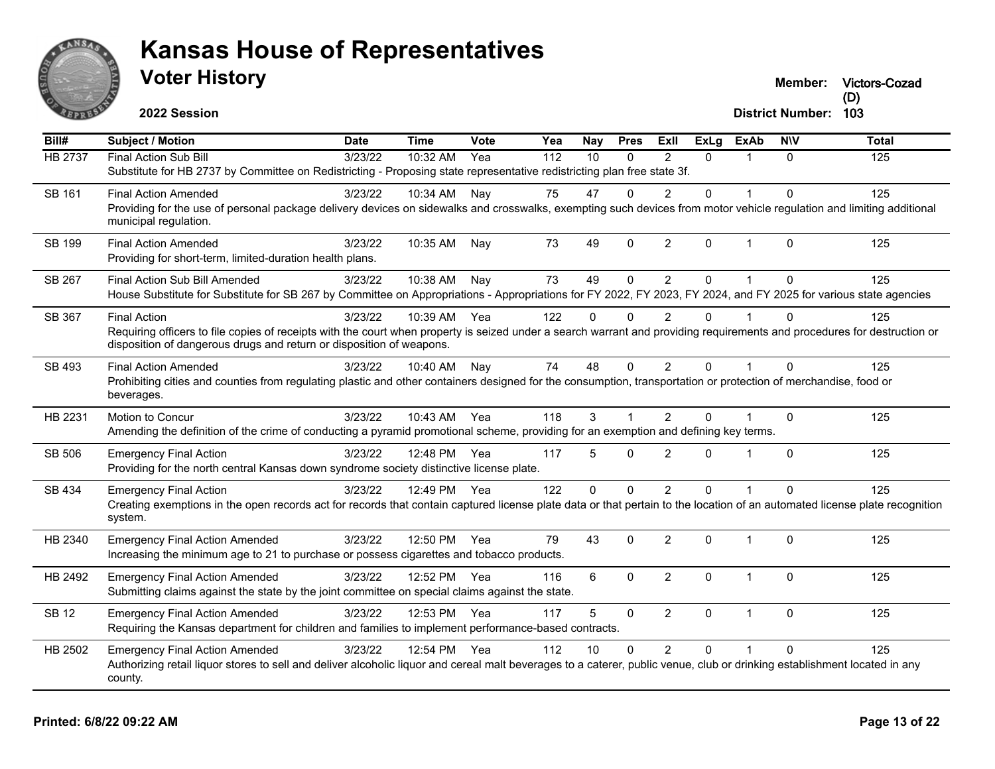

**Victors-Cozad (D)**

**2022 Session**

| $\overline{BiII#}$ | <b>Subject / Motion</b>                                                                                                                                                                                                                          | <b>Date</b> | <b>Time</b> | Vote | Yea              | <b>Nay</b>      | <b>Pres</b>  | ExII           | $\overline{Ex}$ Lg | <b>ExAb</b>  | <b>NIV</b>  | <b>Total</b> |
|--------------------|--------------------------------------------------------------------------------------------------------------------------------------------------------------------------------------------------------------------------------------------------|-------------|-------------|------|------------------|-----------------|--------------|----------------|--------------------|--------------|-------------|--------------|
| <b>HB 2737</b>     | <b>Final Action Sub Bill</b>                                                                                                                                                                                                                     | 3/23/22     | 10:32 AM    | Yea  | $\overline{112}$ | $\overline{10}$ | $\Omega$     | $\mathcal{P}$  | $\Omega$           | $\mathbf{1}$ | $\Omega$    | 125          |
|                    | Substitute for HB 2737 by Committee on Redistricting - Proposing state representative redistricting plan free state 3f.                                                                                                                          |             |             |      |                  |                 |              |                |                    |              |             |              |
| SB 161             | <b>Final Action Amended</b>                                                                                                                                                                                                                      | 3/23/22     | 10:34 AM    | Nay  | 75               | 47              | $\Omega$     | $\overline{2}$ | $\mathbf{0}$       | 1            | $\Omega$    | 125          |
|                    | Providing for the use of personal package delivery devices on sidewalks and crosswalks, exempting such devices from motor vehicle regulation and limiting additional<br>municipal regulation.                                                    |             |             |      |                  |                 |              |                |                    |              |             |              |
| SB 199             | <b>Final Action Amended</b>                                                                                                                                                                                                                      | 3/23/22     | 10:35 AM    | Nay  | 73               | 49              | $\Omega$     | $\overline{2}$ | $\mathbf{0}$       | $\mathbf{1}$ | $\Omega$    | 125          |
|                    | Providing for short-term, limited-duration health plans.                                                                                                                                                                                         |             |             |      |                  |                 |              |                |                    |              |             |              |
| SB 267             | Final Action Sub Bill Amended                                                                                                                                                                                                                    | 3/23/22     | 10:38 AM    | Nay  | 73               | 49              | 0            | $\overline{2}$ | $\mathbf 0$        | $\mathbf{1}$ | $\Omega$    | 125          |
|                    | House Substitute for Substitute for SB 267 by Committee on Appropriations - Appropriations for FY 2022, FY 2023, FY 2024, and FY 2025 for various state agencies                                                                                 |             |             |      |                  |                 |              |                |                    |              |             |              |
| SB 367             | <b>Final Action</b>                                                                                                                                                                                                                              | 3/23/22     | 10:39 AM    | Yea  | 122              | $\Omega$        | $\Omega$     | $\overline{2}$ | $\Omega$           | 1            | $\Omega$    | 125          |
|                    | Requiring officers to file copies of receipts with the court when property is seized under a search warrant and providing requirements and procedures for destruction or<br>disposition of dangerous drugs and return or disposition of weapons. |             |             |      |                  |                 |              |                |                    |              |             |              |
| SB 493             | <b>Final Action Amended</b>                                                                                                                                                                                                                      | 3/23/22     | 10:40 AM    | Nay  | 74               | 48              | $\Omega$     | $\overline{2}$ | $\Omega$           | 1            | $\Omega$    | 125          |
|                    | Prohibiting cities and counties from regulating plastic and other containers designed for the consumption, transportation or protection of merchandise, food or<br>beverages.                                                                    |             |             |      |                  |                 |              |                |                    |              |             |              |
| HB 2231            | Motion to Concur                                                                                                                                                                                                                                 | 3/23/22     | 10:43 AM    | Yea  | 118              | 3               |              | $\overline{2}$ | $\Omega$           |              | $\Omega$    | 125          |
|                    | Amending the definition of the crime of conducting a pyramid promotional scheme, providing for an exemption and defining key terms.                                                                                                              |             |             |      |                  |                 |              |                |                    |              |             |              |
| SB 506             | <b>Emergency Final Action</b>                                                                                                                                                                                                                    | 3/23/22     | 12:48 PM    | Yea  | 117              | 5               | $\Omega$     | $\overline{2}$ | $\Omega$           | 1            | $\Omega$    | 125          |
|                    | Providing for the north central Kansas down syndrome society distinctive license plate.                                                                                                                                                          |             |             |      |                  |                 |              |                |                    |              |             |              |
| SB 434             | <b>Emergency Final Action</b>                                                                                                                                                                                                                    | 3/23/22     | 12:49 PM    | Yea  | 122              | $\mathbf{0}$    | $\Omega$     | $\overline{2}$ | $\mathbf{0}$       | 1            | $\Omega$    | 125          |
|                    | Creating exemptions in the open records act for records that contain captured license plate data or that pertain to the location of an automated license plate recognition                                                                       |             |             |      |                  |                 |              |                |                    |              |             |              |
|                    | system.                                                                                                                                                                                                                                          |             |             |      |                  |                 |              |                |                    |              |             |              |
| HB 2340            | <b>Emergency Final Action Amended</b>                                                                                                                                                                                                            | 3/23/22     | 12:50 PM    | Yea  | 79               | 43              | $\Omega$     | $\overline{2}$ | $\mathbf{0}$       | $\mathbf{1}$ | $\Omega$    | 125          |
|                    | Increasing the minimum age to 21 to purchase or possess cigarettes and tobacco products.                                                                                                                                                         |             |             |      |                  |                 |              |                |                    |              |             |              |
| HB 2492            | <b>Emergency Final Action Amended</b>                                                                                                                                                                                                            | 3/23/22     | 12:52 PM    | Yea  | 116              | 6               | $\Omega$     | $\overline{2}$ | $\mathbf 0$        | $\mathbf 1$  | $\mathbf 0$ | 125          |
|                    | Submitting claims against the state by the joint committee on special claims against the state.                                                                                                                                                  |             |             |      |                  |                 |              |                |                    |              |             |              |
| <b>SB 12</b>       | <b>Emergency Final Action Amended</b>                                                                                                                                                                                                            | 3/23/22     | 12:53 PM    | Yea  | 117              | 5               | $\mathbf{0}$ | $\overline{2}$ | $\mathbf{0}$       | $\mathbf 1$  | $\Omega$    | 125          |
|                    | Requiring the Kansas department for children and families to implement performance-based contracts.                                                                                                                                              |             |             |      |                  |                 |              |                |                    |              |             |              |
| HB 2502            | <b>Emergency Final Action Amended</b>                                                                                                                                                                                                            | 3/23/22     | 12:54 PM    | Yea  | 112              | 10              | 0            | $\overline{2}$ | $\Omega$           |              | $\Omega$    | 125          |
|                    | Authorizing retail liquor stores to sell and deliver alcoholic liquor and cereal malt beverages to a caterer, public venue, club or drinking establishment located in any<br>county.                                                             |             |             |      |                  |                 |              |                |                    |              |             |              |
|                    |                                                                                                                                                                                                                                                  |             |             |      |                  |                 |              |                |                    |              |             |              |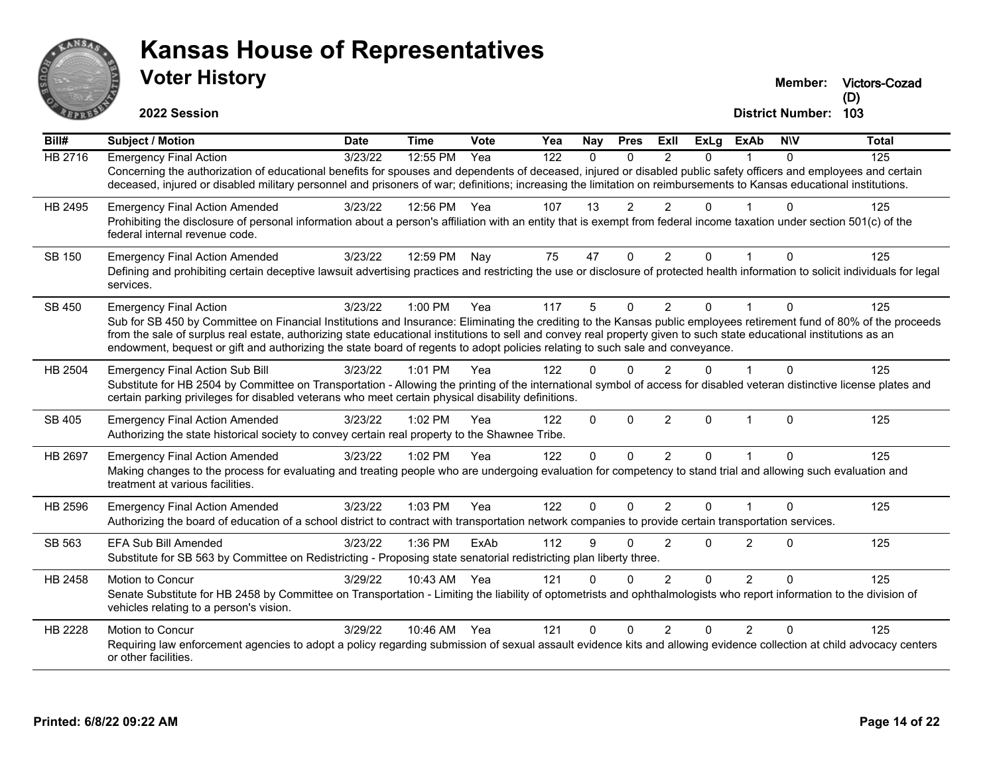

**Victors-Cozad (D)**

**2022 Session**

| Bill#          | Subject / Motion                                                                                                                                                                                                                                                                                      | Date    | <b>Time</b>  | Vote | Yea              | Nay          | <b>Pres</b>    | ExII           | <b>ExLg</b> | <b>ExAb</b>             | <b>NIV</b>   | <b>Total</b> |
|----------------|-------------------------------------------------------------------------------------------------------------------------------------------------------------------------------------------------------------------------------------------------------------------------------------------------------|---------|--------------|------|------------------|--------------|----------------|----------------|-------------|-------------------------|--------------|--------------|
| <b>HB 2716</b> | <b>Emergency Final Action</b>                                                                                                                                                                                                                                                                         | 3/23/22 | 12:55 PM     | Yea  | $\overline{122}$ | $\Omega$     | $\Omega$       | $\mathcal{P}$  | $\Omega$    |                         | 0            | 125          |
|                | Concerning the authorization of educational benefits for spouses and dependents of deceased, injured or disabled public safety officers and employees and certain                                                                                                                                     |         |              |      |                  |              |                |                |             |                         |              |              |
|                | deceased, injured or disabled military personnel and prisoners of war; definitions; increasing the limitation on reimbursements to Kansas educational institutions.                                                                                                                                   |         |              |      |                  |              |                |                |             |                         |              |              |
| HB 2495        | <b>Emergency Final Action Amended</b>                                                                                                                                                                                                                                                                 | 3/23/22 | 12:56 PM Yea |      | 107              | 13           | $\overline{2}$ | $\overline{2}$ | $\mathbf 0$ |                         | $\Omega$     | 125          |
|                | Prohibiting the disclosure of personal information about a person's affiliation with an entity that is exempt from federal income taxation under section 501(c) of the<br>federal internal revenue code.                                                                                              |         |              |      |                  |              |                |                |             |                         |              |              |
| SB 150         | <b>Emergency Final Action Amended</b>                                                                                                                                                                                                                                                                 | 3/23/22 | 12:59 PM     | Nav  | 75               | 47           | $\Omega$       | $\overline{2}$ | 0           |                         | $\Omega$     | 125          |
|                | Defining and prohibiting certain deceptive lawsuit advertising practices and restricting the use or disclosure of protected health information to solicit individuals for legal<br>services.                                                                                                          |         |              |      |                  |              |                |                |             |                         |              |              |
| SB 450         | <b>Emergency Final Action</b>                                                                                                                                                                                                                                                                         | 3/23/22 | $1:00$ PM    | Yea  | 117              | 5            | $\Omega$       | $\overline{2}$ | $\Omega$    |                         | $\Omega$     | 125          |
|                | Sub for SB 450 by Committee on Financial Institutions and Insurance: Eliminating the crediting to the Kansas public employees retirement fund of 80% of the proceeds                                                                                                                                  |         |              |      |                  |              |                |                |             |                         |              |              |
|                | from the sale of surplus real estate, authorizing state educational institutions to sell and convey real property given to such state educational institutions as an<br>endowment, bequest or gift and authorizing the state board of regents to adopt policies relating to such sale and conveyance. |         |              |      |                  |              |                |                |             |                         |              |              |
|                |                                                                                                                                                                                                                                                                                                       |         |              |      |                  |              |                |                |             |                         |              |              |
| HB 2504        | <b>Emergency Final Action Sub Bill</b>                                                                                                                                                                                                                                                                | 3/23/22 | 1:01 PM      | Yea  | 122              | $\Omega$     |                | $\mathcal{P}$  | $\Omega$    |                         | $\Omega$     | 125          |
|                | Substitute for HB 2504 by Committee on Transportation - Allowing the printing of the international symbol of access for disabled veteran distinctive license plates and<br>certain parking privileges for disabled veterans who meet certain physical disability definitions.                         |         |              |      |                  |              |                |                |             |                         |              |              |
| SB 405         | <b>Emergency Final Action Amended</b>                                                                                                                                                                                                                                                                 | 3/23/22 | 1:02 PM      | Yea  | 122              | $\Omega$     | $\mathbf{0}$   | $\overline{2}$ | $\mathbf 0$ | $\overline{1}$          | $\mathbf{0}$ | 125          |
|                | Authorizing the state historical society to convey certain real property to the Shawnee Tribe.                                                                                                                                                                                                        |         |              |      |                  |              |                |                |             |                         |              |              |
| <b>HB 2697</b> | <b>Emergency Final Action Amended</b>                                                                                                                                                                                                                                                                 | 3/23/22 | 1:02 PM      | Yea  | 122              | $\Omega$     | $\Omega$       | 2              | $\Omega$    |                         | $\Omega$     | 125          |
|                | Making changes to the process for evaluating and treating people who are undergoing evaluation for competency to stand trial and allowing such evaluation and                                                                                                                                         |         |              |      |                  |              |                |                |             |                         |              |              |
|                | treatment at various facilities.                                                                                                                                                                                                                                                                      |         |              |      |                  |              |                |                |             |                         |              |              |
| HB 2596        | <b>Emergency Final Action Amended</b>                                                                                                                                                                                                                                                                 | 3/23/22 | 1:03 PM      | Yea  | 122              | $\mathbf{0}$ | $\Omega$       | $\overline{2}$ | $\Omega$    | $\overline{\mathbf{1}}$ | $\mathbf{0}$ | 125          |
|                | Authorizing the board of education of a school district to contract with transportation network companies to provide certain transportation services.                                                                                                                                                 |         |              |      |                  |              |                |                |             |                         |              |              |
| SB 563         | <b>EFA Sub Bill Amended</b>                                                                                                                                                                                                                                                                           | 3/23/22 | 1:36 PM      | ExAb | 112              | 9            |                | $\mathcal{P}$  | $\Omega$    | 2                       | 0            | 125          |
|                | Substitute for SB 563 by Committee on Redistricting - Proposing state senatorial redistricting plan liberty three.                                                                                                                                                                                    |         |              |      |                  |              |                |                |             |                         |              |              |
| HB 2458        | Motion to Concur                                                                                                                                                                                                                                                                                      | 3/29/22 | 10:43 AM     | Yea  | 121              | $\Omega$     |                | $\mathcal{P}$  | $\Omega$    | 2                       | 0            | 125          |
|                | Senate Substitute for HB 2458 by Committee on Transportation - Limiting the liability of optometrists and ophthalmologists who report information to the division of<br>vehicles relating to a person's vision.                                                                                       |         |              |      |                  |              |                |                |             |                         |              |              |
| HB 2228        | <b>Motion to Concur</b>                                                                                                                                                                                                                                                                               | 3/29/22 | 10:46 AM     | Yea  | 121              | $\Omega$     | U              | $\mathcal{P}$  | $\Omega$    | 2                       | U            | 125          |
|                | Requiring law enforcement agencies to adopt a policy regarding submission of sexual assault evidence kits and allowing evidence collection at child advocacy centers<br>or other facilities.                                                                                                          |         |              |      |                  |              |                |                |             |                         |              |              |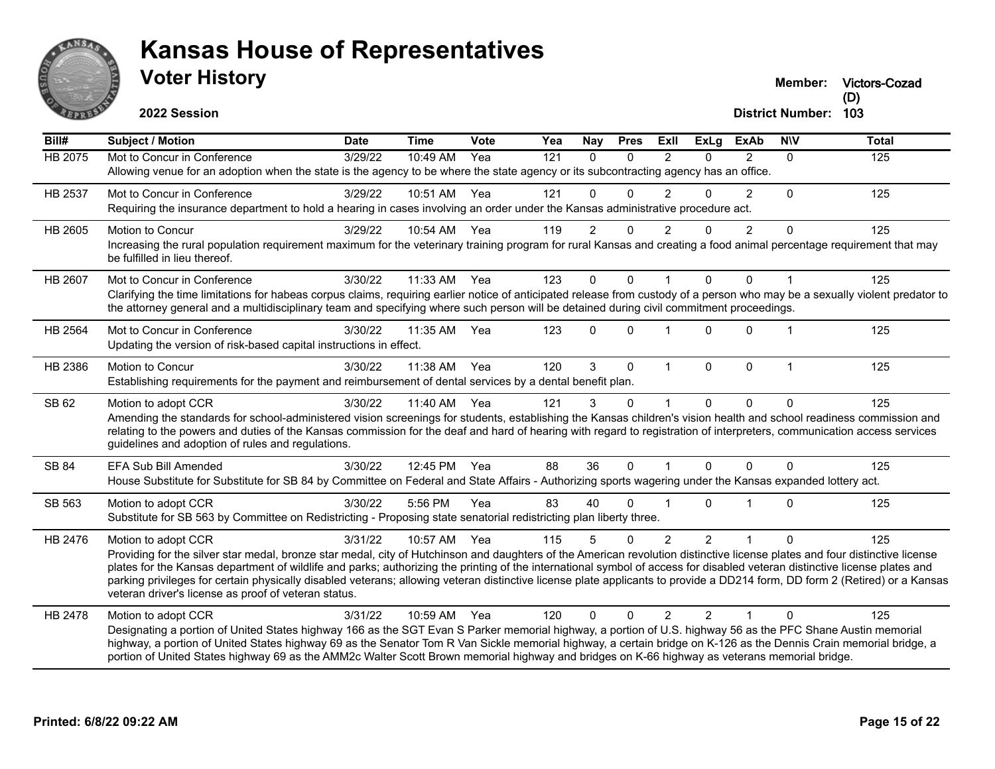

**Victors-Cozad**

**2022 Session**

| Bill#          | <b>Subject / Motion</b>                                                                                                                                                                                                                                                                                                                                                                                                                                                                                                                                                                          | <b>Date</b> | <b>Time</b>  | Vote | Yea | Nay            | <b>Pres</b>  | ExII                    | <b>ExLg</b>    | <b>ExAb</b>    | <b>NIV</b> | <b>Total</b> |
|----------------|--------------------------------------------------------------------------------------------------------------------------------------------------------------------------------------------------------------------------------------------------------------------------------------------------------------------------------------------------------------------------------------------------------------------------------------------------------------------------------------------------------------------------------------------------------------------------------------------------|-------------|--------------|------|-----|----------------|--------------|-------------------------|----------------|----------------|------------|--------------|
| <b>HB 2075</b> | Mot to Concur in Conference                                                                                                                                                                                                                                                                                                                                                                                                                                                                                                                                                                      | 3/29/22     | 10:49 AM     | Yea  | 121 | $\Omega$       | $\Omega$     | $\mathcal{P}$           | $\Omega$       | $\overline{2}$ | $\Omega$   | 125          |
|                | Allowing venue for an adoption when the state is the agency to be where the state agency or its subcontracting agency has an office.                                                                                                                                                                                                                                                                                                                                                                                                                                                             |             |              |      |     |                |              |                         |                |                |            |              |
| HB 2537        | Mot to Concur in Conference                                                                                                                                                                                                                                                                                                                                                                                                                                                                                                                                                                      | 3/29/22     | 10:51 AM     | Yea  | 121 | $\Omega$       | $\Omega$     | $\overline{2}$          | 0              | $\overline{2}$ | $\Omega$   | 125          |
|                | Requiring the insurance department to hold a hearing in cases involving an order under the Kansas administrative procedure act.                                                                                                                                                                                                                                                                                                                                                                                                                                                                  |             |              |      |     |                |              |                         |                |                |            |              |
| HB 2605        | <b>Motion to Concur</b>                                                                                                                                                                                                                                                                                                                                                                                                                                                                                                                                                                          | 3/29/22     | 10:54 AM     | Yea  | 119 | $\overline{2}$ | $\Omega$     | $\mathfrak{p}$          | 0              | 2              | $\Omega$   | 125          |
|                | Increasing the rural population requirement maximum for the veterinary training program for rural Kansas and creating a food animal percentage requirement that may<br>be fulfilled in lieu thereof.                                                                                                                                                                                                                                                                                                                                                                                             |             |              |      |     |                |              |                         |                |                |            |              |
| HB 2607        | Mot to Concur in Conference                                                                                                                                                                                                                                                                                                                                                                                                                                                                                                                                                                      | 3/30/22     | 11:33 AM     | Yea  | 123 | 0              | $\Omega$     |                         | $\Omega$       | $\Omega$       |            | 125          |
|                | Clarifying the time limitations for habeas corpus claims, requiring earlier notice of anticipated release from custody of a person who may be a sexually violent predator to                                                                                                                                                                                                                                                                                                                                                                                                                     |             |              |      |     |                |              |                         |                |                |            |              |
|                | the attorney general and a multidisciplinary team and specifying where such person will be detained during civil commitment proceedings.                                                                                                                                                                                                                                                                                                                                                                                                                                                         |             |              |      |     |                |              |                         |                |                |            |              |
| HB 2564        | Mot to Concur in Conference                                                                                                                                                                                                                                                                                                                                                                                                                                                                                                                                                                      | 3/30/22     | 11:35 AM     | Yea  | 123 | 0              | $\Omega$     |                         | 0              | $\Omega$       |            | 125          |
|                | Updating the version of risk-based capital instructions in effect.                                                                                                                                                                                                                                                                                                                                                                                                                                                                                                                               |             |              |      |     |                |              |                         |                |                |            |              |
| HB 2386        | <b>Motion to Concur</b>                                                                                                                                                                                                                                                                                                                                                                                                                                                                                                                                                                          | 3/30/22     | 11:38 AM     | Yea  | 120 | 3              | $\Omega$     | $\overline{\mathbf{1}}$ | $\Omega$       | $\mathbf{0}$   | 1          | 125          |
|                | Establishing requirements for the payment and reimbursement of dental services by a dental benefit plan.                                                                                                                                                                                                                                                                                                                                                                                                                                                                                         |             |              |      |     |                |              |                         |                |                |            |              |
| SB 62          | Motion to adopt CCR                                                                                                                                                                                                                                                                                                                                                                                                                                                                                                                                                                              | 3/30/22     | 11:40 AM     | Yea  | 121 | 3              | $\Omega$     |                         | 0              | $\Omega$       | $\Omega$   | 125          |
|                | Amending the standards for school-administered vision screenings for students, establishing the Kansas children's vision health and school readiness commission and<br>relating to the powers and duties of the Kansas commission for the deaf and hard of hearing with regard to registration of interpreters, communication access services<br>guidelines and adoption of rules and regulations.                                                                                                                                                                                               |             |              |      |     |                |              |                         |                |                |            |              |
| <b>SB 84</b>   | <b>EFA Sub Bill Amended</b>                                                                                                                                                                                                                                                                                                                                                                                                                                                                                                                                                                      | 3/30/22     | 12:45 PM Yea |      | 88  | 36             | $\Omega$     |                         | $\Omega$       | $\Omega$       | $\Omega$   | 125          |
|                | House Substitute for Substitute for SB 84 by Committee on Federal and State Affairs - Authorizing sports wagering under the Kansas expanded lottery act.                                                                                                                                                                                                                                                                                                                                                                                                                                         |             |              |      |     |                |              |                         |                |                |            |              |
| SB 563         | Motion to adopt CCR                                                                                                                                                                                                                                                                                                                                                                                                                                                                                                                                                                              | 3/30/22     | 5:56 PM      | Yea  | 83  | 40             | $\Omega$     |                         | $\Omega$       |                | $\Omega$   | 125          |
|                | Substitute for SB 563 by Committee on Redistricting - Proposing state senatorial redistricting plan liberty three.                                                                                                                                                                                                                                                                                                                                                                                                                                                                               |             |              |      |     |                |              |                         |                |                |            |              |
| HB 2476        | Motion to adopt CCR                                                                                                                                                                                                                                                                                                                                                                                                                                                                                                                                                                              | 3/31/22     | 10:57 AM     | Yea  | 115 | 5              | $\mathbf{0}$ | 2                       | $\overline{2}$ | 1              | $\Omega$   | 125          |
|                | Providing for the silver star medal, bronze star medal, city of Hutchinson and daughters of the American revolution distinctive license plates and four distinctive license<br>plates for the Kansas department of wildlife and parks; authorizing the printing of the international symbol of access for disabled veteran distinctive license plates and<br>parking privileges for certain physically disabled veterans; allowing veteran distinctive license plate applicants to provide a DD214 form, DD form 2 (Retired) or a Kansas<br>veteran driver's license as proof of veteran status. |             |              |      |     |                |              |                         |                |                |            |              |
| HB 2478        | Motion to adopt CCR                                                                                                                                                                                                                                                                                                                                                                                                                                                                                                                                                                              | 3/31/22     | 10:59 AM Yea |      | 120 | 0              | $\Omega$     | $\overline{2}$          | $\mathfrak{p}$ | 1              | $\Omega$   | 125          |
|                | Designating a portion of United States highway 166 as the SGT Evan S Parker memorial highway, a portion of U.S. highway 56 as the PFC Shane Austin memorial<br>highway, a portion of United States highway 69 as the Senator Tom R Van Sickle memorial highway, a certain bridge on K-126 as the Dennis Crain memorial bridge, a                                                                                                                                                                                                                                                                 |             |              |      |     |                |              |                         |                |                |            |              |
|                | portion of United States highway 69 as the AMM2c Walter Scott Brown memorial highway and bridges on K-66 highway as veterans memorial bridge.                                                                                                                                                                                                                                                                                                                                                                                                                                                    |             |              |      |     |                |              |                         |                |                |            |              |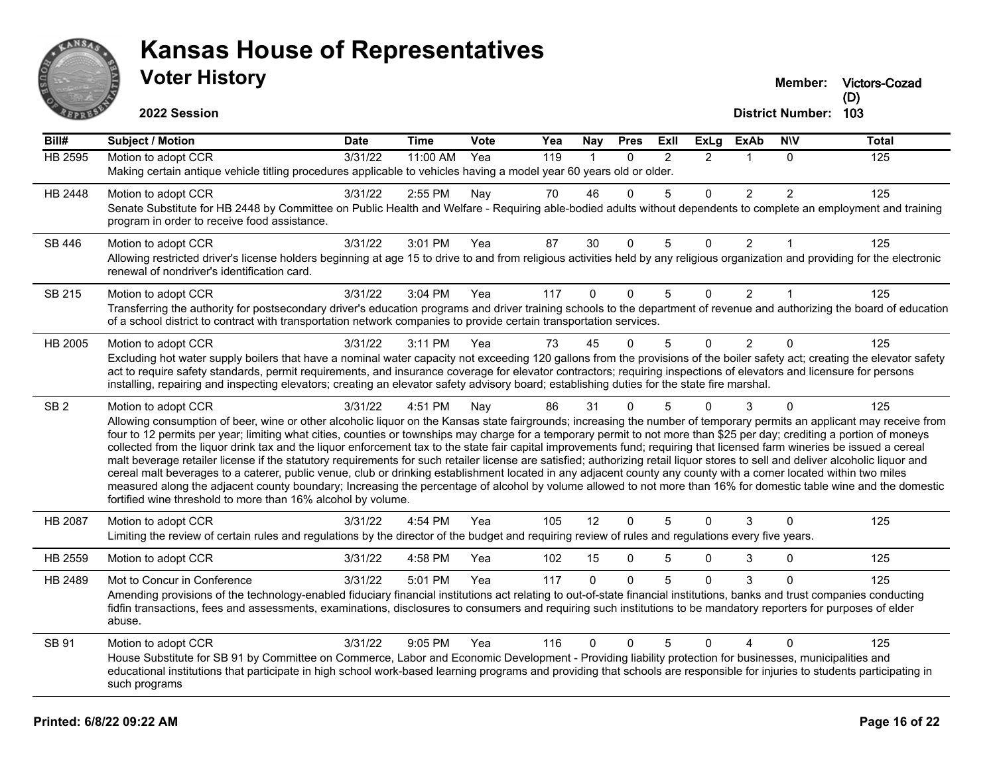

**Victors-Cozad**

**2022 Session**

| Bill#           | <b>Subject / Motion</b>                                                                                                                                                                                                                                                                                                                                 | <b>Date</b> | <b>Time</b> | <b>Vote</b> | Yea | Nay            | <b>Pres</b>  | ExII          | <b>ExLg</b>    | <b>ExAb</b>    | <b>NIV</b>     | <b>Total</b> |
|-----------------|---------------------------------------------------------------------------------------------------------------------------------------------------------------------------------------------------------------------------------------------------------------------------------------------------------------------------------------------------------|-------------|-------------|-------------|-----|----------------|--------------|---------------|----------------|----------------|----------------|--------------|
| <b>HB 2595</b>  | Motion to adopt CCR                                                                                                                                                                                                                                                                                                                                     | 3/31/22     | 11:00 AM    | Yea         | 119 | $\overline{1}$ | $\Omega$     | $\mathcal{P}$ | $\mathcal{P}$  | $\mathbf{1}$   | $\Omega$       | 125          |
|                 | Making certain antique vehicle titling procedures applicable to vehicles having a model year 60 years old or older.                                                                                                                                                                                                                                     |             |             |             |     |                |              |               |                |                |                |              |
| HB 2448         | Motion to adopt CCR                                                                                                                                                                                                                                                                                                                                     | 3/31/22     | 2:55 PM     | Nay         | 70  | 46             | $\Omega$     | 5             | 0              | $\overline{2}$ | $\overline{2}$ | 125          |
|                 | Senate Substitute for HB 2448 by Committee on Public Health and Welfare - Requiring able-bodied adults without dependents to complete an employment and training<br>program in order to receive food assistance.                                                                                                                                        |             |             |             |     |                |              |               |                |                |                |              |
| SB 446          | Motion to adopt CCR                                                                                                                                                                                                                                                                                                                                     | 3/31/22     | 3:01 PM     | Yea         | 87  | 30             | $\mathbf 0$  | 5             | $\Omega$       | $\overline{2}$ | $\overline{1}$ | 125          |
|                 | Allowing restricted driver's license holders beginning at age 15 to drive to and from religious activities held by any religious organization and providing for the electronic<br>renewal of nondriver's identification card.                                                                                                                           |             |             |             |     |                |              |               |                |                |                |              |
| SB 215          | Motion to adopt CCR                                                                                                                                                                                                                                                                                                                                     | 3/31/22     | 3:04 PM     | Yea         | 117 | $\Omega$       | $\Omega$     | 5             | $\Omega$       | 2              |                | 125          |
|                 | Transferring the authority for postsecondary driver's education programs and driver training schools to the department of revenue and authorizing the board of education<br>of a school district to contract with transportation network companies to provide certain transportation services.                                                          |             |             |             |     |                |              |               |                |                |                |              |
| HB 2005         | Motion to adopt CCR                                                                                                                                                                                                                                                                                                                                     | 3/31/22     | 3:11 PM     | Yea         | 73  | 45             | U            | 5             | $\Omega$       | $\overline{2}$ | $\Omega$       | 125          |
|                 | Excluding hot water supply boilers that have a nominal water capacity not exceeding 120 gallons from the provisions of the boiler safety act; creating the elevator safety<br>act to require safety standards, permit requirements, and insurance coverage for elevator contractors; requiring inspections of elevators and licensure for persons       |             |             |             |     |                |              |               |                |                |                |              |
|                 | installing, repairing and inspecting elevators; creating an elevator safety advisory board; establishing duties for the state fire marshal.                                                                                                                                                                                                             |             |             |             |     |                |              |               |                |                |                |              |
| SB <sub>2</sub> | Motion to adopt CCR                                                                                                                                                                                                                                                                                                                                     | 3/31/22     | 4:51 PM     | Nay         | 86  | 31             | $\Omega$     | 5             | $\Omega$       | 3              | $\Omega$       | 125          |
|                 | Allowing consumption of beer, wine or other alcoholic liquor on the Kansas state fairgrounds; increasing the number of temporary permits an applicant may receive from                                                                                                                                                                                  |             |             |             |     |                |              |               |                |                |                |              |
|                 | four to 12 permits per year; limiting what cities, counties or townships may charge for a temporary permit to not more than \$25 per day; crediting a portion of moneys<br>collected from the liquor drink tax and the liquor enforcement tax to the state fair capital improvements fund; requiring that licensed farm wineries be issued a cereal     |             |             |             |     |                |              |               |                |                |                |              |
|                 | malt beverage retailer license if the statutory requirements for such retailer license are satisfied; authorizing retail liquor stores to sell and deliver alcoholic liquor and                                                                                                                                                                         |             |             |             |     |                |              |               |                |                |                |              |
|                 | cereal malt beverages to a caterer, public venue, club or drinking establishment located in any adjacent county any county with a comer located within two miles<br>measured along the adjacent county boundary; Increasing the percentage of alcohol by volume allowed to not more than 16% for domestic table wine and the domestic                   |             |             |             |     |                |              |               |                |                |                |              |
|                 | fortified wine threshold to more than 16% alcohol by volume.                                                                                                                                                                                                                                                                                            |             |             |             |     |                |              |               |                |                |                |              |
| HB 2087         | Motion to adopt CCR                                                                                                                                                                                                                                                                                                                                     | 3/31/22     | 4:54 PM     | Yea         | 105 | 12             | $\Omega$     | 5             | $\Omega$       | 3              | $\Omega$       | 125          |
|                 | Limiting the review of certain rules and regulations by the director of the budget and requiring review of rules and regulations every five years.                                                                                                                                                                                                      |             |             |             |     |                |              |               |                |                |                |              |
| HB 2559         | Motion to adopt CCR                                                                                                                                                                                                                                                                                                                                     | 3/31/22     | 4:58 PM     | Yea         | 102 | 15             | $\mathbf{0}$ | 5             | 0              | 3              | $\Omega$       | 125          |
| HB 2489         | Mot to Concur in Conference                                                                                                                                                                                                                                                                                                                             | 3/31/22     | 5:01 PM     | Yea         | 117 | $\mathbf 0$    | $\Omega$     | 5             | $\Omega$       | 3              | $\Omega$       | 125          |
|                 | Amending provisions of the technology-enabled fiduciary financial institutions act relating to out-of-state financial institutions, banks and trust companies conducting<br>fidfin transactions, fees and assessments, examinations, disclosures to consumers and requiring such institutions to be mandatory reporters for purposes of elder<br>abuse. |             |             |             |     |                |              |               |                |                |                |              |
| <b>SB 91</b>    | Motion to adopt CCR                                                                                                                                                                                                                                                                                                                                     | 3/31/22     | 9:05 PM     | Yea         | 116 | $\Omega$       | $\mathbf{0}$ | 5             | $\overline{0}$ | 4              | $\Omega$       | 125          |
|                 | House Substitute for SB 91 by Committee on Commerce, Labor and Economic Development - Providing liability protection for businesses, municipalities and<br>educational institutions that participate in high school work-based learning programs and providing that schools are responsible for injuries to students participating in                   |             |             |             |     |                |              |               |                |                |                |              |
|                 | such programs                                                                                                                                                                                                                                                                                                                                           |             |             |             |     |                |              |               |                |                |                |              |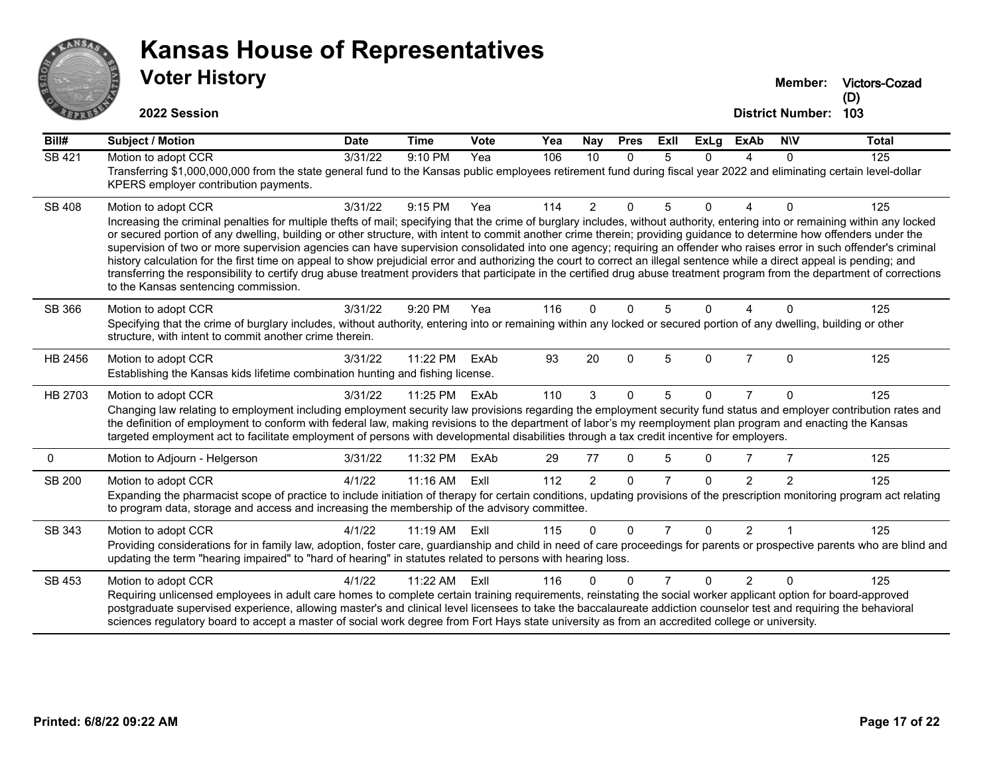

# **Voter History Kansas House of Representatives**

**Victors-Cozad (D)**

| Bill#         | Subject / Motion                                                                                                                                                                                                                                                                                                                                                                                                                                                                                                                                                                                                                                                                                                                                                                                                                                                                                                                                            | <b>Date</b> | <b>Time</b> | Vote | Yea | Nay            | <b>Pres</b>  | ExIl           | <b>ExLg</b>  | <b>ExAb</b>    | <b>NIV</b>     | <b>Total</b>     |
|---------------|-------------------------------------------------------------------------------------------------------------------------------------------------------------------------------------------------------------------------------------------------------------------------------------------------------------------------------------------------------------------------------------------------------------------------------------------------------------------------------------------------------------------------------------------------------------------------------------------------------------------------------------------------------------------------------------------------------------------------------------------------------------------------------------------------------------------------------------------------------------------------------------------------------------------------------------------------------------|-------------|-------------|------|-----|----------------|--------------|----------------|--------------|----------------|----------------|------------------|
| <b>SB 421</b> | Motion to adopt CCR<br>Transferring \$1,000,000,000 from the state general fund to the Kansas public employees retirement fund during fiscal year 2022 and eliminating certain level-dollar<br>KPERS employer contribution payments.                                                                                                                                                                                                                                                                                                                                                                                                                                                                                                                                                                                                                                                                                                                        | 3/31/22     | 9:10 PM     | Yea  | 106 | 10             | $\Omega$     | 5              | $\Omega$     | 4              | $\Omega$       | $\overline{125}$ |
| <b>SB 408</b> | Motion to adopt CCR<br>Increasing the criminal penalties for multiple thefts of mail; specifying that the crime of burglary includes, without authority, entering into or remaining within any locked<br>or secured portion of any dwelling, building or other structure, with intent to commit another crime therein; providing guidance to determine how offenders under the<br>supervision of two or more supervision agencies can have supervision consolidated into one agency; requiring an offender who raises error in such offender's criminal<br>history calculation for the first time on appeal to show prejudicial error and authorizing the court to correct an illegal sentence while a direct appeal is pending; and<br>transferring the responsibility to certify drug abuse treatment providers that participate in the certified drug abuse treatment program from the department of corrections<br>to the Kansas sentencing commission. | 3/31/22     | 9:15 PM     | Yea  | 114 | $\overline{2}$ | $\Omega$     | 5              | $\Omega$     | 4              | $\Omega$       | 125              |
| SB 366        | Motion to adopt CCR<br>Specifying that the crime of burglary includes, without authority, entering into or remaining within any locked or secured portion of any dwelling, building or other<br>structure, with intent to commit another crime therein.                                                                                                                                                                                                                                                                                                                                                                                                                                                                                                                                                                                                                                                                                                     | 3/31/22     | 9:20 PM     | Yea  | 116 | $\Omega$       | $\Omega$     | 5              | 0            |                | 0              | 125              |
| HB 2456       | Motion to adopt CCR<br>Establishing the Kansas kids lifetime combination hunting and fishing license.                                                                                                                                                                                                                                                                                                                                                                                                                                                                                                                                                                                                                                                                                                                                                                                                                                                       | 3/31/22     | 11:22 PM    | ExAb | 93  | 20             | $\mathbf{0}$ | 5              | $\Omega$     | $\overline{7}$ | $\Omega$       | 125              |
| HB 2703       | Motion to adopt CCR<br>Changing law relating to employment including employment security law provisions regarding the employment security fund status and employer contribution rates and<br>the definition of employment to conform with federal law, making revisions to the department of labor's my reemployment plan program and enacting the Kansas<br>targeted employment act to facilitate employment of persons with developmental disabilities through a tax credit incentive for employers.                                                                                                                                                                                                                                                                                                                                                                                                                                                      | 3/31/22     | 11:25 PM    | ExAb | 110 | 3              | $\Omega$     | 5              | 0            | 7              | $\Omega$       | 125              |
| 0             | Motion to Adjourn - Helgerson                                                                                                                                                                                                                                                                                                                                                                                                                                                                                                                                                                                                                                                                                                                                                                                                                                                                                                                               | 3/31/22     | 11:32 PM    | ExAb | 29  | 77             | $\mathbf{0}$ | 5              | $\Omega$     | 7              | 7              | 125              |
| SB 200        | Motion to adopt CCR<br>Expanding the pharmacist scope of practice to include initiation of therapy for certain conditions, updating provisions of the prescription monitoring program act relating<br>to program data, storage and access and increasing the membership of the advisory committee.                                                                                                                                                                                                                                                                                                                                                                                                                                                                                                                                                                                                                                                          | 4/1/22      | 11:16 AM    | ExIl | 112 | $\overline{2}$ | $\Omega$     | $\overline{7}$ | $\Omega$     | $\mathcal{P}$  | $\mathfrak{p}$ | 125              |
| SB 343        | Motion to adopt CCR<br>Providing considerations for in family law, adoption, foster care, guardianship and child in need of care proceedings for parents or prospective parents who are blind and<br>updating the term "hearing impaired" to "hard of hearing" in statutes related to persons with hearing loss.                                                                                                                                                                                                                                                                                                                                                                                                                                                                                                                                                                                                                                            | 4/1/22      | $11:19$ AM  | Exll | 115 | $\Omega$       | $\Omega$     |                | <sup>0</sup> | $\mathcal{P}$  |                | 125              |
| SB 453        | Motion to adopt CCR<br>Requiring unlicensed employees in adult care homes to complete certain training requirements, reinstating the social worker applicant option for board-approved<br>postgraduate supervised experience, allowing master's and clinical level licensees to take the baccalaureate addiction counselor test and requiring the behavioral<br>sciences regulatory board to accept a master of social work degree from Fort Hays state university as from an accredited college or university.                                                                                                                                                                                                                                                                                                                                                                                                                                             | 4/1/22      | 11:22 AM    | Exll | 116 | 0              | $\Omega$     | $\overline{7}$ | $\Omega$     | $\mathcal{P}$  | $\Omega$       | 125              |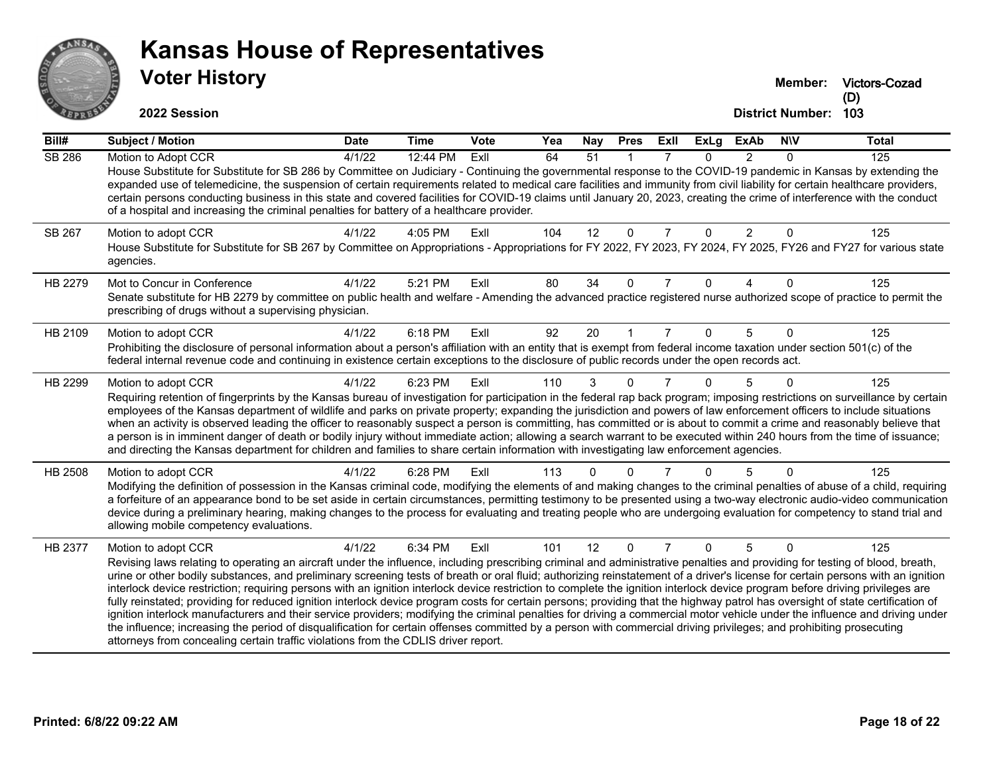

|               | <b>VOTER HISTORY</b>                                                                                                                                                                                                                                                                                                                                                                                                                                                                                                                                                                                                                                                                                                                                                                                                                                                                                                                                                                                                                                                                                            |             |             |             |     |                 |             |                |             |                |                         | Member: Victors-Cozad<br>(D) |
|---------------|-----------------------------------------------------------------------------------------------------------------------------------------------------------------------------------------------------------------------------------------------------------------------------------------------------------------------------------------------------------------------------------------------------------------------------------------------------------------------------------------------------------------------------------------------------------------------------------------------------------------------------------------------------------------------------------------------------------------------------------------------------------------------------------------------------------------------------------------------------------------------------------------------------------------------------------------------------------------------------------------------------------------------------------------------------------------------------------------------------------------|-------------|-------------|-------------|-----|-----------------|-------------|----------------|-------------|----------------|-------------------------|------------------------------|
|               | 2022 Session                                                                                                                                                                                                                                                                                                                                                                                                                                                                                                                                                                                                                                                                                                                                                                                                                                                                                                                                                                                                                                                                                                    |             |             |             |     |                 |             |                |             |                | <b>District Number:</b> | 103                          |
| Bill#         | <b>Subject / Motion</b>                                                                                                                                                                                                                                                                                                                                                                                                                                                                                                                                                                                                                                                                                                                                                                                                                                                                                                                                                                                                                                                                                         | <b>Date</b> | <b>Time</b> | <b>Vote</b> | Yea | <b>Nay</b>      | <b>Pres</b> | ExII           | <b>ExLg</b> | <b>ExAb</b>    | <b>NIV</b>              | <b>Total</b>                 |
| <b>SB 286</b> | Motion to Adopt CCR<br>House Substitute for Substitute for SB 286 by Committee on Judiciary - Continuing the governmental response to the COVID-19 pandemic in Kansas by extending the<br>expanded use of telemedicine, the suspension of certain requirements related to medical care facilities and immunity from civil liability for certain healthcare providers,<br>certain persons conducting business in this state and covered facilities for COVID-19 claims until January 20, 2023, creating the crime of interference with the conduct<br>of a hospital and increasing the criminal penalties for battery of a healthcare provider.                                                                                                                                                                                                                                                                                                                                                                                                                                                                  | 4/1/22      | 12:44 PM    | ExIl        | 64  | $\overline{51}$ |             | $\overline{7}$ | $\Omega$    | $\overline{2}$ | $\Omega$                | 125                          |
| SB 267        | Motion to adopt CCR<br>House Substitute for Substitute for SB 267 by Committee on Appropriations - Appropriations for FY 2022, FY 2023, FY 2024, FY 2025, FY26 and FY27 for various state<br>agencies.                                                                                                                                                                                                                                                                                                                                                                                                                                                                                                                                                                                                                                                                                                                                                                                                                                                                                                          | 4/1/22      | 4:05 PM     | ExII        | 104 | 12              | $\Omega$    | 7              | $\Omega$    | $\overline{2}$ | $\mathbf{0}$            | 125                          |
| HB 2279       | Mot to Concur in Conference<br>Senate substitute for HB 2279 by committee on public health and welfare - Amending the advanced practice registered nurse authorized scope of practice to permit the<br>prescribing of drugs without a supervising physician.                                                                                                                                                                                                                                                                                                                                                                                                                                                                                                                                                                                                                                                                                                                                                                                                                                                    | 4/1/22      | 5:21 PM     | ExIl        | 80  | 34              | $\Omega$    | 7              | $\Omega$    | 4              | $\Omega$                | 125                          |
| HB 2109       | Motion to adopt CCR<br>Prohibiting the disclosure of personal information about a person's affiliation with an entity that is exempt from federal income taxation under section 501(c) of the<br>federal internal revenue code and continuing in existence certain exceptions to the disclosure of public records under the open records act.                                                                                                                                                                                                                                                                                                                                                                                                                                                                                                                                                                                                                                                                                                                                                                   | 4/1/22      | 6:18 PM     | ExIl        | 92  | 20              |             | $\overline{7}$ | $\Omega$    | 5              | 0                       | 125                          |
| HB 2299       | Motion to adopt CCR<br>Requiring retention of fingerprints by the Kansas bureau of investigation for participation in the federal rap back program; imposing restrictions on surveillance by certain<br>employees of the Kansas department of wildlife and parks on private property; expanding the jurisdiction and powers of law enforcement officers to include situations<br>when an activity is observed leading the officer to reasonably suspect a person is committing, has committed or is about to commit a crime and reasonably believe that<br>a person is in imminent danger of death or bodily injury without immediate action; allowing a search warrant to be executed within 240 hours from the time of issuance;<br>and directing the Kansas department for children and families to share certain information with investigating law enforcement agencies.                                                                                                                                                                                                                                   | 4/1/22      | 6:23 PM     | ExII        | 110 |                 |             |                |             | 5              | 0                       | 125                          |
| HB 2508       | Motion to adopt CCR<br>Modifying the definition of possession in the Kansas criminal code, modifying the elements of and making changes to the criminal penalties of abuse of a child, requiring<br>a forfeiture of an appearance bond to be set aside in certain circumstances, permitting testimony to be presented using a two-way electronic audio-video communication<br>device during a preliminary hearing, making changes to the process for evaluating and treating people who are undergoing evaluation for competency to stand trial and<br>allowing mobile competency evaluations.                                                                                                                                                                                                                                                                                                                                                                                                                                                                                                                  | 4/1/22      | 6:28 PM     | ExII        | 113 | 0               | n           |                |             |                | $\Omega$                | 125                          |
| HB 2377       | Motion to adopt CCR<br>Revising laws relating to operating an aircraft under the influence, including prescribing criminal and administrative penalties and providing for testing of blood, breath,<br>urine or other bodily substances, and preliminary screening tests of breath or oral fluid; authorizing reinstatement of a driver's license for certain persons with an ignition<br>interlock device restriction; requiring persons with an ignition interlock device restriction to complete the ignition interlock device program before driving privileges are<br>fully reinstated; providing for reduced ignition interlock device program costs for certain persons; providing that the highway patrol has oversight of state certification of<br>ignition interlock manufacturers and their service providers; modifying the criminal penalties for driving a commercial motor vehicle under the influence and driving under<br>the influence; increasing the period of disqualification for certain offenses committed by a person with commercial driving privileges; and prohibiting prosecuting | 4/1/22      | 6:34 PM     | ExII        | 101 | 12              | $\Omega$    |                | $\Omega$    | 5              | $\Omega$                | 125                          |

attorneys from concealing certain traffic violations from the CDLIS driver report.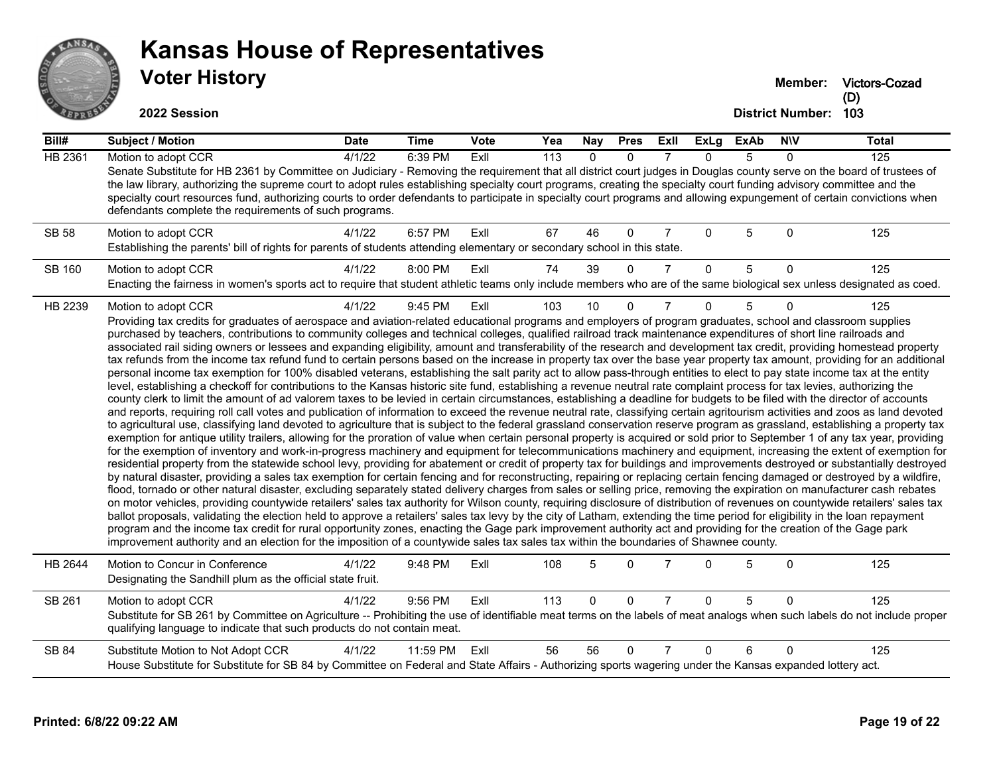

## **Voter History Kansas House of Representatives**

**Victors-Cozad (D)**

| Bill#          | <b>Subject / Motion</b>                                                                                                                                                                                                                                                                                                                                                                                                                                                                                                                                                                                                                                                                                                                                                                                                                                                                                                                                                                                                                                                                                                                                                                                                                                                                                                                                                                                                                                                                                                                                                                                                                                                                                                                                                                                                                                                                                                                                                                                                                                                                                                                                                                                                                                                                                                                                                                                                                                                                                                                                                                                                                                                                                                                                                                                                                                                                                                                                                                                                                                                                                                                                                                            | <b>Date</b> | <b>Time</b> | Vote | Yea              | $\overline{N}$ ay | <b>Pres</b>  | ExII           | $\overline{Ex}$ Lg | <b>ExAb</b> | <b>NIV</b>   | <b>Total</b>     |
|----------------|----------------------------------------------------------------------------------------------------------------------------------------------------------------------------------------------------------------------------------------------------------------------------------------------------------------------------------------------------------------------------------------------------------------------------------------------------------------------------------------------------------------------------------------------------------------------------------------------------------------------------------------------------------------------------------------------------------------------------------------------------------------------------------------------------------------------------------------------------------------------------------------------------------------------------------------------------------------------------------------------------------------------------------------------------------------------------------------------------------------------------------------------------------------------------------------------------------------------------------------------------------------------------------------------------------------------------------------------------------------------------------------------------------------------------------------------------------------------------------------------------------------------------------------------------------------------------------------------------------------------------------------------------------------------------------------------------------------------------------------------------------------------------------------------------------------------------------------------------------------------------------------------------------------------------------------------------------------------------------------------------------------------------------------------------------------------------------------------------------------------------------------------------------------------------------------------------------------------------------------------------------------------------------------------------------------------------------------------------------------------------------------------------------------------------------------------------------------------------------------------------------------------------------------------------------------------------------------------------------------------------------------------------------------------------------------------------------------------------------------------------------------------------------------------------------------------------------------------------------------------------------------------------------------------------------------------------------------------------------------------------------------------------------------------------------------------------------------------------------------------------------------------------------------------------------------------------|-------------|-------------|------|------------------|-------------------|--------------|----------------|--------------------|-------------|--------------|------------------|
| <b>HB 2361</b> | Motion to adopt CCR<br>Senate Substitute for HB 2361 by Committee on Judiciary - Removing the requirement that all district court judges in Douglas county serve on the board of trustees of<br>the law library, authorizing the supreme court to adopt rules establishing specialty court programs, creating the specialty court funding advisory committee and the<br>specialty court resources fund, authorizing courts to order defendants to participate in specialty court programs and allowing expungement of certain convictions when<br>defendants complete the requirements of such programs.                                                                                                                                                                                                                                                                                                                                                                                                                                                                                                                                                                                                                                                                                                                                                                                                                                                                                                                                                                                                                                                                                                                                                                                                                                                                                                                                                                                                                                                                                                                                                                                                                                                                                                                                                                                                                                                                                                                                                                                                                                                                                                                                                                                                                                                                                                                                                                                                                                                                                                                                                                                           | 4/1/22      | 6:39 PM     | ExIl | $\overline{113}$ | $\Omega$          | $\Omega$     |                | $\Omega$           | 5           | 0            | $\overline{125}$ |
| <b>SB 58</b>   | Motion to adopt CCR<br>Establishing the parents' bill of rights for parents of students attending elementary or secondary school in this state.                                                                                                                                                                                                                                                                                                                                                                                                                                                                                                                                                                                                                                                                                                                                                                                                                                                                                                                                                                                                                                                                                                                                                                                                                                                                                                                                                                                                                                                                                                                                                                                                                                                                                                                                                                                                                                                                                                                                                                                                                                                                                                                                                                                                                                                                                                                                                                                                                                                                                                                                                                                                                                                                                                                                                                                                                                                                                                                                                                                                                                                    | 4/1/22      | 6:57 PM     | ExII | 67               | 46                | $\Omega$     | 7              | $\Omega$           | 5           | $\Omega$     | 125              |
| <b>SB 160</b>  | Motion to adopt CCR<br>Enacting the fairness in women's sports act to require that student athletic teams only include members who are of the same biological sex unless designated as coed.                                                                                                                                                                                                                                                                                                                                                                                                                                                                                                                                                                                                                                                                                                                                                                                                                                                                                                                                                                                                                                                                                                                                                                                                                                                                                                                                                                                                                                                                                                                                                                                                                                                                                                                                                                                                                                                                                                                                                                                                                                                                                                                                                                                                                                                                                                                                                                                                                                                                                                                                                                                                                                                                                                                                                                                                                                                                                                                                                                                                       | 4/1/22      | 8:00 PM     | ExIl | 74               | 39                | $\Omega$     | $\overline{7}$ | $\Omega$           | 5           | $\Omega$     | 125              |
| HB 2239        | Motion to adopt CCR<br>Providing tax credits for graduates of aerospace and aviation-related educational programs and employers of program graduates, school and classroom supplies<br>purchased by teachers, contributions to community colleges and technical colleges, qualified railroad track maintenance expenditures of short line railroads and<br>associated rail siding owners or lessees and expanding eligibility, amount and transferability of the research and development tax credit, providing homestead property<br>tax refunds from the income tax refund fund to certain persons based on the increase in property tax over the base year property tax amount, providing for an additional<br>personal income tax exemption for 100% disabled veterans, establishing the salt parity act to allow pass-through entities to elect to pay state income tax at the entity<br>level, establishing a checkoff for contributions to the Kansas historic site fund, establishing a revenue neutral rate complaint process for tax levies, authorizing the<br>county clerk to limit the amount of ad valorem taxes to be levied in certain circumstances, establishing a deadline for budgets to be filed with the director of accounts<br>and reports, requiring roll call votes and publication of information to exceed the revenue neutral rate, classifying certain agritourism activities and zoos as land devoted<br>to agricultural use, classifying land devoted to agriculture that is subject to the federal grassland conservation reserve program as grassland, establishing a property tax<br>exemption for antique utility trailers, allowing for the proration of value when certain personal property is acquired or sold prior to September 1 of any tax year, providing<br>for the exemption of inventory and work-in-progress machinery and equipment for telecommunications machinery and equipment, increasing the extent of exemption for<br>residential property from the statewide school levy, providing for abatement or credit of property tax for buildings and improvements destroyed or substantially destroyed<br>by natural disaster, providing a sales tax exemption for certain fencing and for reconstructing, repairing or replacing certain fencing damaged or destroyed by a wildfire,<br>flood, tornado or other natural disaster, excluding separately stated delivery charges from sales or selling price, removing the expiration on manufacturer cash rebates<br>on motor vehicles, providing countywide retailers' sales tax authority for Wilson county, requiring disclosure of distribution of revenues on countywide retailers' sales tax<br>ballot proposals, validating the election held to approve a retailers' sales tax levy by the city of Latham, extending the time period for eligibility in the loan repayment<br>program and the income tax credit for rural opportunity zones, enacting the Gage park improvement authority act and providing for the creation of the Gage park<br>improvement authority and an election for the imposition of a countywide sales tax sales tax within the boundaries of Shawnee county. | 4/1/22      | 9:45 PM     | ExIl | 103              | 10                | $\Omega$     | 7              | $\Omega$           | 5           | <sup>0</sup> | 125              |
| HB 2644        | Motion to Concur in Conference<br>Designating the Sandhill plum as the official state fruit.                                                                                                                                                                                                                                                                                                                                                                                                                                                                                                                                                                                                                                                                                                                                                                                                                                                                                                                                                                                                                                                                                                                                                                                                                                                                                                                                                                                                                                                                                                                                                                                                                                                                                                                                                                                                                                                                                                                                                                                                                                                                                                                                                                                                                                                                                                                                                                                                                                                                                                                                                                                                                                                                                                                                                                                                                                                                                                                                                                                                                                                                                                       | 4/1/22      | 9:48 PM     | ExIl | 108              | 5                 | $\Omega$     | 7              | $\Omega$           | 5           | $\Omega$     | 125              |
| SB 261         | Motion to adopt CCR<br>Substitute for SB 261 by Committee on Agriculture -- Prohibiting the use of identifiable meat terms on the labels of meat analogs when such labels do not include proper<br>qualifying language to indicate that such products do not contain meat.                                                                                                                                                                                                                                                                                                                                                                                                                                                                                                                                                                                                                                                                                                                                                                                                                                                                                                                                                                                                                                                                                                                                                                                                                                                                                                                                                                                                                                                                                                                                                                                                                                                                                                                                                                                                                                                                                                                                                                                                                                                                                                                                                                                                                                                                                                                                                                                                                                                                                                                                                                                                                                                                                                                                                                                                                                                                                                                         | 4/1/22      | 9:56 PM     | ExIl | 113              | $\Omega$          | $\mathbf{0}$ | $\overline{7}$ | $\mathbf{0}$       | 5           | $\Omega$     | 125              |
| SB 84          | Substitute Motion to Not Adopt CCR<br>House Substitute for Substitute for SB 84 by Committee on Federal and State Affairs - Authorizing sports wagering under the Kansas expanded lottery act.                                                                                                                                                                                                                                                                                                                                                                                                                                                                                                                                                                                                                                                                                                                                                                                                                                                                                                                                                                                                                                                                                                                                                                                                                                                                                                                                                                                                                                                                                                                                                                                                                                                                                                                                                                                                                                                                                                                                                                                                                                                                                                                                                                                                                                                                                                                                                                                                                                                                                                                                                                                                                                                                                                                                                                                                                                                                                                                                                                                                     | 4/1/22      | 11:59 PM    | Exll | 56               | 56                | $\Omega$     | $\overline{7}$ | $\Omega$           | 6           | $\Omega$     | 125              |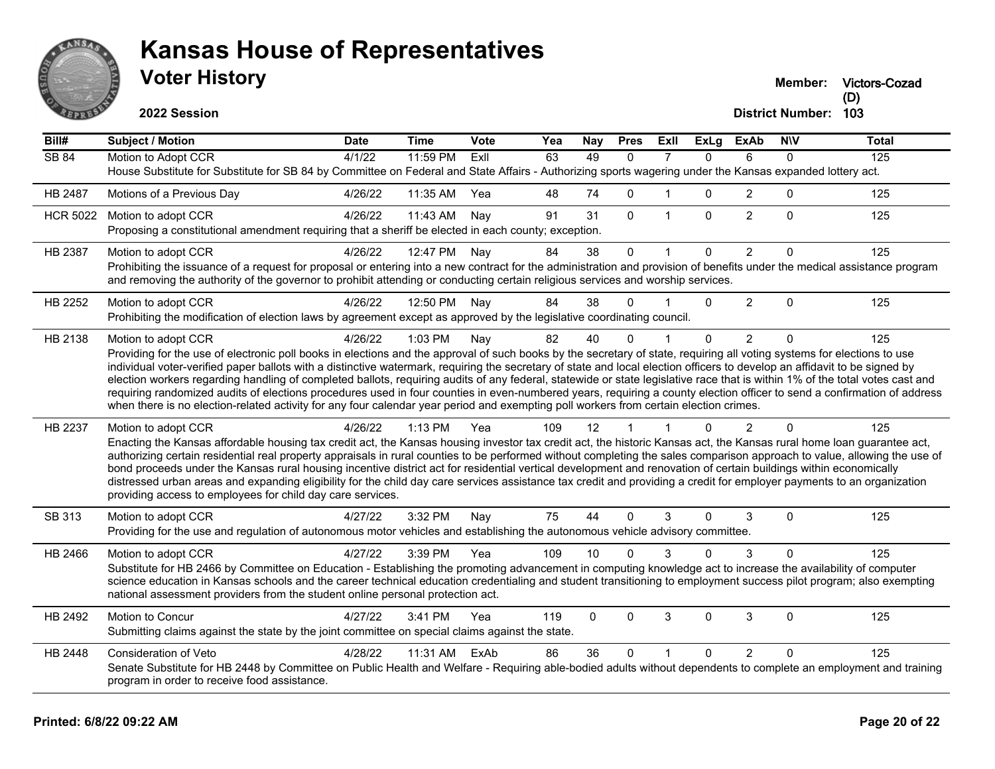

**Victors-Cozad (D)**

**2022 Session**

| Bill#           | <b>Subject / Motion</b>                                                                                                                                                                                                                                                                                                                                                                                                                                                                                                                                                                                                                                                                                                                                                                                                                                                          | <b>Date</b> | <b>Time</b> | Vote | Yea | Nay          | <b>Pres</b>  | Exll           | <b>ExLg</b>  | <b>ExAb</b>    | <b>NIV</b>   | <b>Total</b> |
|-----------------|----------------------------------------------------------------------------------------------------------------------------------------------------------------------------------------------------------------------------------------------------------------------------------------------------------------------------------------------------------------------------------------------------------------------------------------------------------------------------------------------------------------------------------------------------------------------------------------------------------------------------------------------------------------------------------------------------------------------------------------------------------------------------------------------------------------------------------------------------------------------------------|-------------|-------------|------|-----|--------------|--------------|----------------|--------------|----------------|--------------|--------------|
| <b>SB 84</b>    | Motion to Adopt CCR<br>House Substitute for Substitute for SB 84 by Committee on Federal and State Affairs - Authorizing sports wagering under the Kansas expanded lottery act.                                                                                                                                                                                                                                                                                                                                                                                                                                                                                                                                                                                                                                                                                                  | 4/1/22      | 11:59 PM    | ExIl | 63  | 49           | $\mathbf{0}$ | 7              | $\mathbf{0}$ | 6              | 0            | 125          |
| HB 2487         | Motions of a Previous Day                                                                                                                                                                                                                                                                                                                                                                                                                                                                                                                                                                                                                                                                                                                                                                                                                                                        | 4/26/22     | 11:35 AM    | Yea  | 48  | 74           | $\Omega$     | 1              | $\Omega$     | $\overline{2}$ | 0            | 125          |
| <b>HCR 5022</b> | Motion to adopt CCR<br>Proposing a constitutional amendment requiring that a sheriff be elected in each county; exception.                                                                                                                                                                                                                                                                                                                                                                                                                                                                                                                                                                                                                                                                                                                                                       | 4/26/22     | 11:43 AM    | Nay  | 91  | 31           | $\mathbf{0}$ | $\mathbf{1}$   | $\Omega$     | 2              | $\Omega$     | 125          |
| HB 2387         | Motion to adopt CCR<br>Prohibiting the issuance of a request for proposal or entering into a new contract for the administration and provision of benefits under the medical assistance program<br>and removing the authority of the governor to prohibit attending or conducting certain religious services and worship services.                                                                                                                                                                                                                                                                                                                                                                                                                                                                                                                                               | 4/26/22     | 12:47 PM    | Nay  | 84  | 38           | $\mathbf 0$  |                | 0            | $\overline{2}$ | 0            | 125          |
| HB 2252         | Motion to adopt CCR<br>Prohibiting the modification of election laws by agreement except as approved by the legislative coordinating council.                                                                                                                                                                                                                                                                                                                                                                                                                                                                                                                                                                                                                                                                                                                                    | 4/26/22     | 12:50 PM    | Nay  | 84  | 38           | $\Omega$     | $\overline{1}$ | $\Omega$     | $\overline{2}$ | $\Omega$     | 125          |
| HB 2138         | Motion to adopt CCR<br>Providing for the use of electronic poll books in elections and the approval of such books by the secretary of state, requiring all voting systems for elections to use<br>individual voter-verified paper ballots with a distinctive watermark, requiring the secretary of state and local election officers to develop an affidavit to be signed by<br>election workers regarding handling of completed ballots, requiring audits of any federal, statewide or state legislative race that is within 1% of the total votes cast and<br>requiring randomized audits of elections procedures used in four counties in even-numbered years, requiring a county election officer to send a confirmation of address<br>when there is no election-related activity for any four calendar year period and exempting poll workers from certain election crimes. | 4/26/22     | 1:03 PM     | Nay  | 82  | 40           | $\Omega$     |                | $\Omega$     | 2              | $\Omega$     | 125          |
| HB 2237         | Motion to adopt CCR<br>Enacting the Kansas affordable housing tax credit act, the Kansas housing investor tax credit act, the historic Kansas act, the Kansas rural home loan guarantee act,<br>authorizing certain residential real property appraisals in rural counties to be performed without completing the sales comparison approach to value, allowing the use of<br>bond proceeds under the Kansas rural housing incentive district act for residential vertical development and renovation of certain buildings within economically<br>distressed urban areas and expanding eligibility for the child day care services assistance tax credit and providing a credit for employer payments to an organization<br>providing access to employees for child day care services.                                                                                            | 4/26/22     | $1:13$ PM   | Yea  | 109 | 12           |              |                | $\Omega$     | $\mathcal{P}$  | 0            | 125          |
| SB 313          | Motion to adopt CCR<br>Providing for the use and regulation of autonomous motor vehicles and establishing the autonomous vehicle advisory committee.                                                                                                                                                                                                                                                                                                                                                                                                                                                                                                                                                                                                                                                                                                                             | 4/27/22     | 3:32 PM     | Nay  | 75  | 44           | $\mathbf 0$  | 3              | $\Omega$     | 3              | $\Omega$     | 125          |
| HB 2466         | Motion to adopt CCR<br>Substitute for HB 2466 by Committee on Education - Establishing the promoting advancement in computing knowledge act to increase the availability of computer<br>science education in Kansas schools and the career technical education credentialing and student transitioning to employment success pilot program; also exempting<br>national assessment providers from the student online personal protection act.                                                                                                                                                                                                                                                                                                                                                                                                                                     | 4/27/22     | 3:39 PM     | Yea  | 109 | 10           | ∩            | 3              | ŋ            | 3              | 0            | 125          |
| HB 2492         | Motion to Concur<br>Submitting claims against the state by the joint committee on special claims against the state.                                                                                                                                                                                                                                                                                                                                                                                                                                                                                                                                                                                                                                                                                                                                                              | 4/27/22     | 3:41 PM     | Yea  | 119 | $\mathbf{0}$ | $\Omega$     | 3              | $\Omega$     | 3              | $\mathbf{0}$ | 125          |
| HB 2448         | Consideration of Veto<br>Senate Substitute for HB 2448 by Committee on Public Health and Welfare - Requiring able-bodied adults without dependents to complete an employment and training<br>program in order to receive food assistance.                                                                                                                                                                                                                                                                                                                                                                                                                                                                                                                                                                                                                                        | 4/28/22     | 11:31 AM    | ExAb | 86  | 36           | $\Omega$     |                | $\Omega$     | $\overline{2}$ | $\Omega$     | 125          |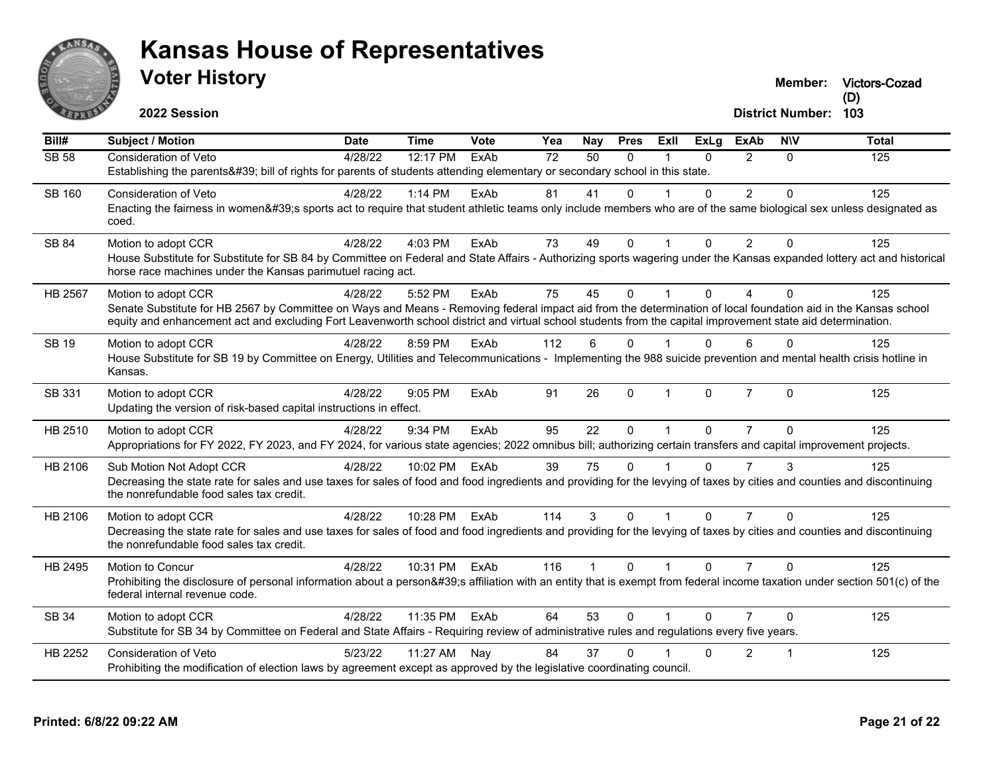

**Victors-Cozad (D)**

**2022 Session**

| Bill#         | <b>Subject / Motion</b>                                                                                                                                                                                                               | <b>Date</b> | <b>Time</b> | Vote | Yea             | <b>Nay</b>      | <b>Pres</b> | Exll         | <b>ExLg</b>  | <b>ExAb</b>    | <b>NIV</b> | <b>Total</b> |
|---------------|---------------------------------------------------------------------------------------------------------------------------------------------------------------------------------------------------------------------------------------|-------------|-------------|------|-----------------|-----------------|-------------|--------------|--------------|----------------|------------|--------------|
| <b>SB 58</b>  | Consideration of Veto                                                                                                                                                                                                                 | 4/28/22     | 12:17 PM    | ExAb | $\overline{72}$ | $\overline{50}$ | $\Omega$    |              | $\Omega$     | $\mathcal{P}$  | 0          | 125          |
|               | Establishing the parents' bill of rights for parents of students attending elementary or secondary school in this state.                                                                                                              |             |             |      |                 |                 |             |              |              |                |            |              |
| <b>SB 160</b> | <b>Consideration of Veto</b>                                                                                                                                                                                                          | 4/28/22     | 1:14 PM     | ExAb | 81              | 41              | $\Omega$    |              | $\Omega$     | $\overline{2}$ | $\Omega$   | 125          |
|               | Enacting the fairness in women's sports act to require that student athletic teams only include members who are of the same biological sex unless designated as                                                                       |             |             |      |                 |                 |             |              |              |                |            |              |
|               | coed.                                                                                                                                                                                                                                 |             |             |      |                 |                 |             |              |              |                |            |              |
| SB 84         | Motion to adopt CCR                                                                                                                                                                                                                   | 4/28/22     | 4:03 PM     | ExAb | 73              | 49              | $\Omega$    |              | $\Omega$     | 2              | $\Omega$   | 125          |
|               | House Substitute for Substitute for SB 84 by Committee on Federal and State Affairs - Authorizing sports wagering under the Kansas expanded lottery act and historical<br>horse race machines under the Kansas parimutuel racing act. |             |             |      |                 |                 |             |              |              |                |            |              |
| HB 2567       | Motion to adopt CCR                                                                                                                                                                                                                   | 4/28/22     | 5:52 PM     | ExAb | 75              | 45              | $\Omega$    |              | $\Omega$     | 4              | $\Omega$   | 125          |
|               | Senate Substitute for HB 2567 by Committee on Ways and Means - Removing federal impact aid from the determination of local foundation aid in the Kansas school                                                                        |             |             |      |                 |                 |             |              |              |                |            |              |
|               | equity and enhancement act and excluding Fort Leavenworth school district and virtual school students from the capital improvement state aid determination.                                                                           |             |             |      |                 |                 |             |              |              |                |            |              |
| <b>SB 19</b>  | Motion to adopt CCR                                                                                                                                                                                                                   | 4/28/22     | 8:59 PM     | ExAb | 112             | 6               | $\Omega$    |              | $\Omega$     | 6              | $\Omega$   | 125          |
|               | House Substitute for SB 19 by Committee on Energy, Utilities and Telecommunications - Implementing the 988 suicide prevention and mental health crisis hotline in<br>Kansas.                                                          |             |             |      |                 |                 |             |              |              |                |            |              |
| SB 331        | Motion to adopt CCR                                                                                                                                                                                                                   | 4/28/22     | 9:05 PM     | ExAb | 91              | 26              | $\Omega$    | $\mathbf{1}$ | $\mathbf{0}$ | $\overline{7}$ | $\Omega$   | 125          |
|               | Updating the version of risk-based capital instructions in effect.                                                                                                                                                                    |             |             |      |                 |                 |             |              |              |                |            |              |
| HB 2510       | Motion to adopt CCR                                                                                                                                                                                                                   | 4/28/22     | 9:34 PM     | ExAb | 95              | 22              | $\Omega$    | $\mathbf{1}$ | $\Omega$     | $\overline{7}$ | $\Omega$   | 125          |
|               | Appropriations for FY 2022, FY 2023, and FY 2024, for various state agencies; 2022 omnibus bill; authorizing certain transfers and capital improvement projects.                                                                      |             |             |      |                 |                 |             |              |              |                |            |              |
| HB 2106       | Sub Motion Not Adopt CCR                                                                                                                                                                                                              | 4/28/22     | 10:02 PM    | ExAb | 39              | 75              | $\Omega$    |              | $\Omega$     | $\overline{7}$ |            | 125          |
|               | Decreasing the state rate for sales and use taxes for sales of food and food ingredients and providing for the levying of taxes by cities and counties and discontinuing                                                              |             |             |      |                 |                 |             |              |              |                |            |              |
|               | the nonrefundable food sales tax credit.                                                                                                                                                                                              |             |             |      |                 |                 |             |              |              |                |            |              |
| HB 2106       | Motion to adopt CCR                                                                                                                                                                                                                   | 4/28/22     | 10:28 PM    | ExAb | 114             | 3               | $\Omega$    |              | $\Omega$     | $\overline{7}$ | $\Omega$   | 125          |
|               | Decreasing the state rate for sales and use taxes for sales of food and food ingredients and providing for the levying of taxes by cities and counties and discontinuing<br>the nonrefundable food sales tax credit.                  |             |             |      |                 |                 |             |              |              |                |            |              |
| HB 2495       | Motion to Concur                                                                                                                                                                                                                      | 4/28/22     | 10:31 PM    | ExAb | 116             |                 | $\Omega$    |              | $\Omega$     |                | $\Omega$   | 125          |
|               | Prohibiting the disclosure of personal information about a person's affiliation with an entity that is exempt from federal income taxation under section 501(c) of the<br>federal internal revenue code.                              |             |             |      |                 |                 |             |              |              |                |            |              |
| SB 34         | Motion to adopt CCR                                                                                                                                                                                                                   | 4/28/22     | 11:35 PM    | ExAb | 64              | 53              | $\Omega$    |              | $\Omega$     | $\overline{7}$ | $\Omega$   | 125          |
|               | Substitute for SB 34 by Committee on Federal and State Affairs - Requiring review of administrative rules and regulations every five years.                                                                                           |             |             |      |                 |                 |             |              |              |                |            |              |
| HB 2252       | <b>Consideration of Veto</b>                                                                                                                                                                                                          | 5/23/22     | 11:27 AM    | Nav  | 84              | 37              | $\Omega$    |              | $\Omega$     | 2              |            | 125          |
|               | Prohibiting the modification of election laws by agreement except as approved by the legislative coordinating council.                                                                                                                |             |             |      |                 |                 |             |              |              |                |            |              |